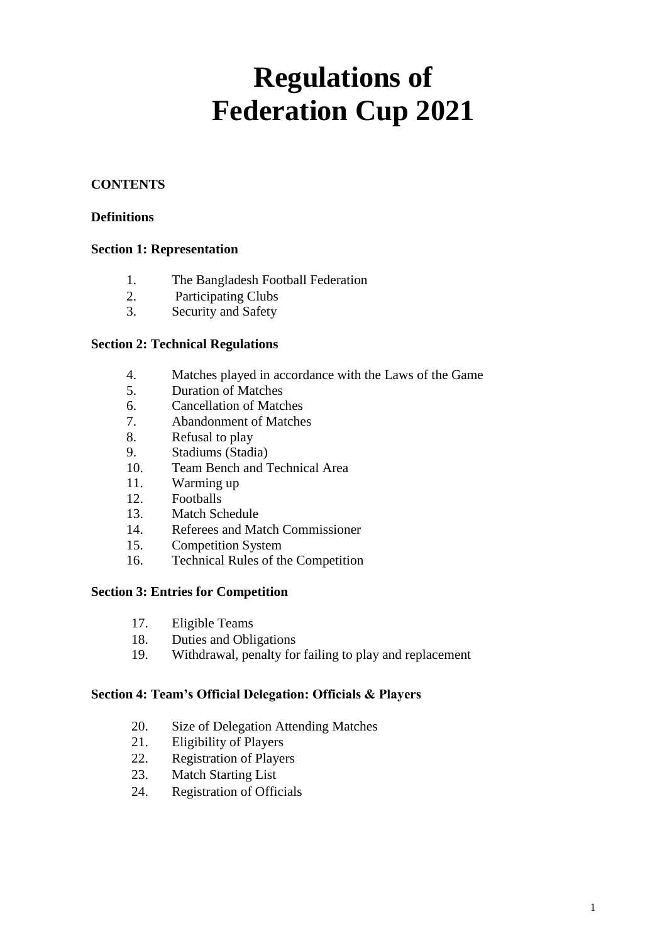# **Regulations of Federation Cup 2021**

## **CONTENTS**

## **Definitions**

## **Section 1: Representation**

- 1. The Bangladesh Football Federation
- 2. Participating Clubs
- 3. Security and Safety

## **Section 2: Technical Regulations**

- 4. Matches played in accordance with the Laws of the Game
- 5. Duration of Matches
- 6. Cancellation of Matches
- 7. Abandonment of Matches
- 8. Refusal to play
- 9. Stadiums (Stadia)
- 10. Team Bench and Technical Area
- 11. Warming up
- 12. Footballs
- 13. Match Schedule
- 14. Referees and Match Commissioner
- 15. Competition System
- 16. Technical Rules of the Competition

## **Section 3: Entries for Competition**

- 17. Eligible Teams
- 18. Duties and Obligations
- 19. Withdrawal, penalty for failing to play and replacement

#### **Section 4: Team's Official Delegation: Officials & Players**

- 20. Size of Delegation Attending Matches
- 21. Eligibility of Players
- 22. Registration of Players
- 23. Match Starting List
- 24. Registration of Officials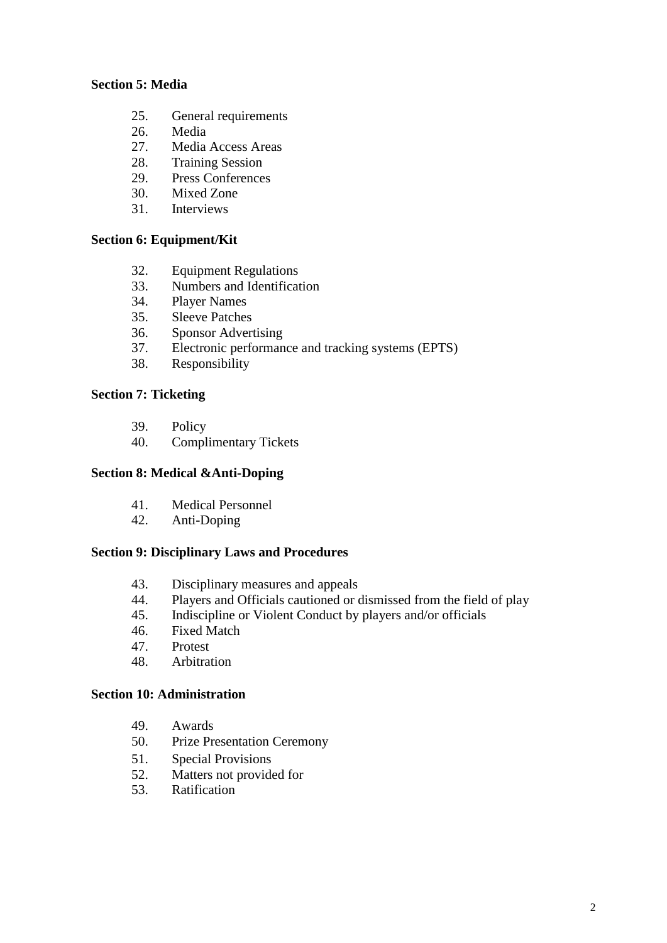#### **Section 5: Media**

- 25. General requirements
- 26. Media
- 27. Media Access Areas
- 28. Training Session
- 29. Press Conferences
- 30. Mixed Zone
- 31. Interviews

#### **Section 6: Equipment/Kit**

- 32. Equipment Regulations
- 33. Numbers and Identification
- 34. Player Names
- 35. Sleeve Patches<br>36. Sponsor Adver
- Sponsor Advertising
- 37. Electronic performance and tracking systems (EPTS)
- 38. Responsibility

## **Section 7: Ticketing**

- 39. Policy
- 40. Complimentary Tickets

#### **Section 8: Medical &Anti-Doping**

- 41. Medical Personnel
- 42. Anti-Doping

## **Section 9: Disciplinary Laws and Procedures**

- 43. Disciplinary measures and appeals
- 44. Players and Officials cautioned or dismissed from the field of play
- 45. Indiscipline or Violent Conduct by players and/or officials
- 46. Fixed Match
- 47. Protest
- 48. Arbitration

#### **Section 10: Administration**

- 49. Awards
- 50. Prize Presentation Ceremony
- 51. Special Provisions
- 52. Matters not provided for
- 53. Ratification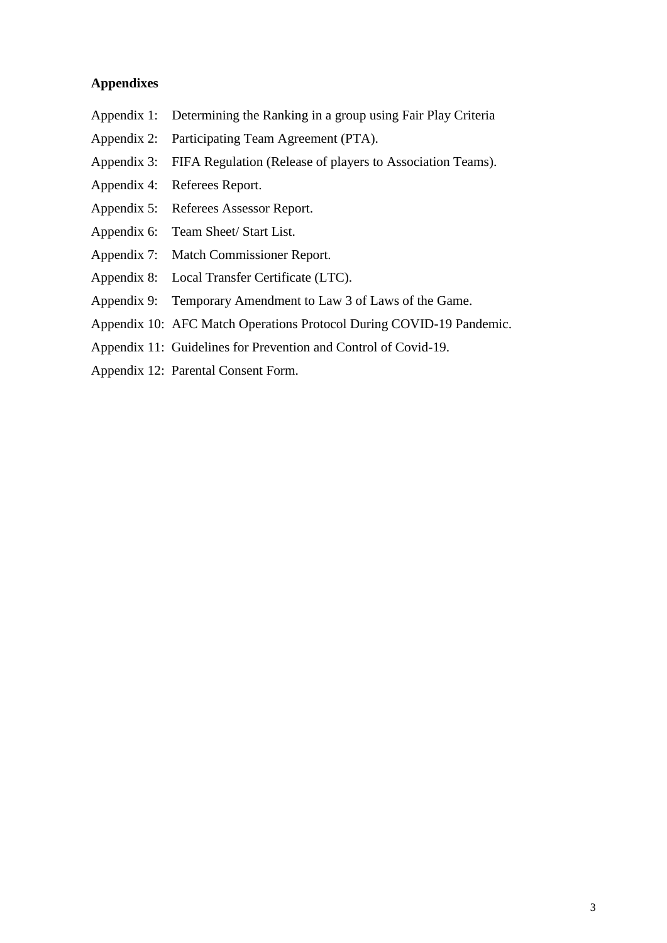## **Appendixes**

- Appendix 1: Determining the Ranking in a group using Fair Play Criteria
- Appendix 2: Participating Team Agreement (PTA).
- Appendix 3: FIFA Regulation (Release of players to Association Teams).
- Appendix 4: Referees Report.
- Appendix 5: Referees Assessor Report.
- Appendix 6: Team Sheet/ Start List.
- Appendix 7: Match Commissioner Report.
- Appendix 8: Local Transfer Certificate (LTC).
- Appendix 9: Temporary Amendment to Law 3 of Laws of the Game.
- Appendix 10: AFC Match Operations Protocol During COVID-19 Pandemic.
- Appendix 11: Guidelines for Prevention and Control of Covid-19.
- Appendix 12: Parental Consent Form.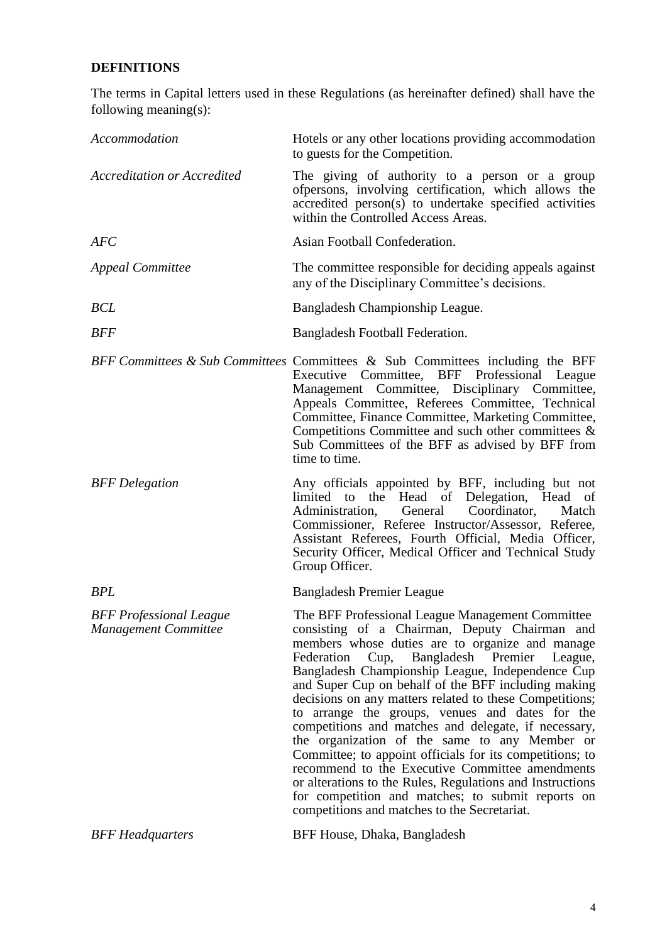# **DEFINITIONS**

The terms in Capital letters used in these Regulations (as hereinafter defined) shall have the following meaning(s):

| Accommodation                                          | Hotels or any other locations providing accommodation<br>to guests for the Competition.                                                                                                                                                                                                                                                                                                                                                                                                                                                                                                                                                                                                                                                                                                                                  |
|--------------------------------------------------------|--------------------------------------------------------------------------------------------------------------------------------------------------------------------------------------------------------------------------------------------------------------------------------------------------------------------------------------------------------------------------------------------------------------------------------------------------------------------------------------------------------------------------------------------------------------------------------------------------------------------------------------------------------------------------------------------------------------------------------------------------------------------------------------------------------------------------|
| <b>Accreditation or Accredited</b>                     | The giving of authority to a person or a group<br>ofpersons, involving certification, which allows the<br>accredited person(s) to undertake specified activities<br>within the Controlled Access Areas.                                                                                                                                                                                                                                                                                                                                                                                                                                                                                                                                                                                                                  |
| AFC                                                    | Asian Football Confederation.                                                                                                                                                                                                                                                                                                                                                                                                                                                                                                                                                                                                                                                                                                                                                                                            |
| <b>Appeal Committee</b>                                | The committee responsible for deciding appeals against<br>any of the Disciplinary Committee's decisions.                                                                                                                                                                                                                                                                                                                                                                                                                                                                                                                                                                                                                                                                                                                 |
| BCL                                                    | Bangladesh Championship League.                                                                                                                                                                                                                                                                                                                                                                                                                                                                                                                                                                                                                                                                                                                                                                                          |
| <b>BFF</b>                                             | Bangladesh Football Federation.                                                                                                                                                                                                                                                                                                                                                                                                                                                                                                                                                                                                                                                                                                                                                                                          |
|                                                        | BFF Committees & Sub Committees Committees & Sub Committees including the BFF<br>Executive Committee, BFF Professional League<br>Management Committee, Disciplinary Committee,<br>Appeals Committee, Referees Committee, Technical<br>Committee, Finance Committee, Marketing Committee,<br>Competitions Committee and such other committees &<br>Sub Committees of the BFF as advised by BFF from<br>time to time.                                                                                                                                                                                                                                                                                                                                                                                                      |
| <b>BFF</b> Delegation                                  | Any officials appointed by BFF, including but not<br>limited to the Head of Delegation, Head of<br>Administration, General Coordinator,<br>Match<br>Commissioner, Referee Instructor/Assessor, Referee,<br>Assistant Referees, Fourth Official, Media Officer,<br>Security Officer, Medical Officer and Technical Study<br>Group Officer.                                                                                                                                                                                                                                                                                                                                                                                                                                                                                |
| <b>BPL</b>                                             | <b>Bangladesh Premier League</b>                                                                                                                                                                                                                                                                                                                                                                                                                                                                                                                                                                                                                                                                                                                                                                                         |
| <b>BFF</b> Professional League<br>Management Committee | The BFF Professional League Management Committee<br>consisting of a Chairman, Deputy Chairman and<br>members whose duties are to organize and manage<br>Cup, Bangladesh Premier League,<br>Federation<br>Bangladesh Championship League, Independence Cup<br>and Super Cup on behalf of the BFF including making<br>decisions on any matters related to these Competitions;<br>to arrange the groups, venues and dates for the<br>competitions and matches and delegate, if necessary,<br>the organization of the same to any Member or<br>Committee; to appoint officials for its competitions; to<br>recommend to the Executive Committee amendments<br>or alterations to the Rules, Regulations and Instructions<br>for competition and matches; to submit reports on<br>competitions and matches to the Secretariat. |
| <b>BFF</b> Headquarters                                | BFF House, Dhaka, Bangladesh                                                                                                                                                                                                                                                                                                                                                                                                                                                                                                                                                                                                                                                                                                                                                                                             |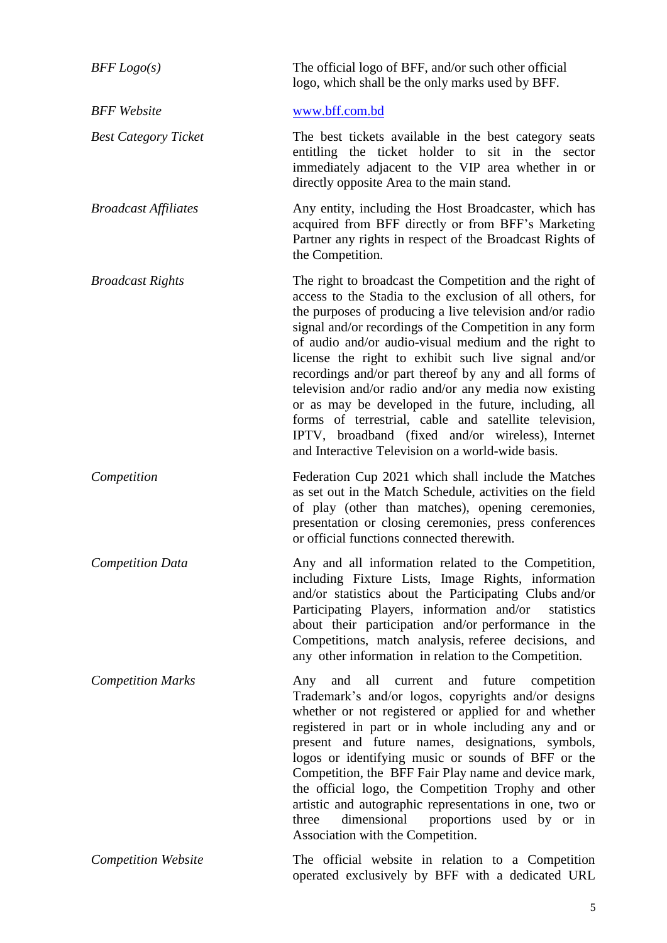| BFF Logo(s)                 | The official logo of BFF, and/or such other official<br>logo, which shall be the only marks used by BFF.                                                                                                                                                                                                                                                                                                                                                                                                                                                                                                                                                                                                 |
|-----------------------------|----------------------------------------------------------------------------------------------------------------------------------------------------------------------------------------------------------------------------------------------------------------------------------------------------------------------------------------------------------------------------------------------------------------------------------------------------------------------------------------------------------------------------------------------------------------------------------------------------------------------------------------------------------------------------------------------------------|
| <b>BFF</b> Website          | www.bff.com.bd                                                                                                                                                                                                                                                                                                                                                                                                                                                                                                                                                                                                                                                                                           |
| <b>Best Category Ticket</b> | The best tickets available in the best category seats<br>entitling the ticket holder to sit in the sector<br>immediately adjacent to the VIP area whether in or<br>directly opposite Area to the main stand.                                                                                                                                                                                                                                                                                                                                                                                                                                                                                             |
| <b>Broadcast Affiliates</b> | Any entity, including the Host Broadcaster, which has<br>acquired from BFF directly or from BFF's Marketing<br>Partner any rights in respect of the Broadcast Rights of<br>the Competition.                                                                                                                                                                                                                                                                                                                                                                                                                                                                                                              |
| <b>Broadcast Rights</b>     | The right to broadcast the Competition and the right of<br>access to the Stadia to the exclusion of all others, for<br>the purposes of producing a live television and/or radio<br>signal and/or recordings of the Competition in any form<br>of audio and/or audio-visual medium and the right to<br>license the right to exhibit such live signal and/or<br>recordings and/or part thereof by any and all forms of<br>television and/or radio and/or any media now existing<br>or as may be developed in the future, including, all<br>forms of terrestrial, cable and satellite television,<br>IPTV, broadband (fixed and/or wireless), Internet<br>and Interactive Television on a world-wide basis. |
| Competition                 | Federation Cup 2021 which shall include the Matches<br>as set out in the Match Schedule, activities on the field<br>of play (other than matches), opening ceremonies,<br>presentation or closing ceremonies, press conferences<br>or official functions connected therewith.                                                                                                                                                                                                                                                                                                                                                                                                                             |
| <b>Competition Data</b>     | Any and all information related to the Competition,<br>including Fixture Lists, Image Rights, information<br>and/or statistics about the Participating Clubs and/or<br>Participating Players, information and/or<br>statistics<br>about their participation and/or performance in the<br>Competitions, match analysis, referee decisions, and<br>any other information in relation to the Competition.                                                                                                                                                                                                                                                                                                   |
| <b>Competition Marks</b>    | future<br>all<br>current<br>and<br>Any<br>and<br>competition<br>Trademark's and/or logos, copyrights and/or designs<br>whether or not registered or applied for and whether<br>registered in part or in whole including any and or<br>present and future names, designations, symbols,<br>logos or identifying music or sounds of BFF or the<br>Competition, the BFF Fair Play name and device mark,<br>the official logo, the Competition Trophy and other<br>artistic and autographic representations in one, two or<br>dimensional proportions used by or in<br>three<br>Association with the Competition.                                                                                            |
| <b>Competition Website</b>  | The official website in relation to a Competition<br>operated exclusively by BFF with a dedicated URL                                                                                                                                                                                                                                                                                                                                                                                                                                                                                                                                                                                                    |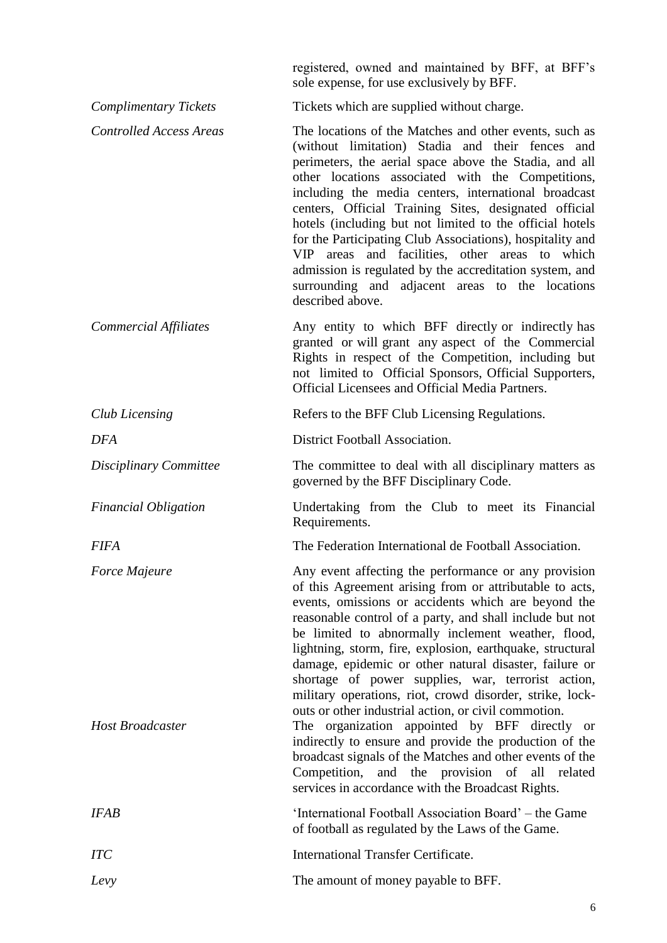registered, owned and maintained by BFF, at BFF"s sole expense, for use exclusively by BFF.

| <b>Complimentary Tickets</b>             | Tickets which are supplied without charge.                                                                                                                                                                                                                                                                                                                                                                                                                                                                                                                                                                                                                                                                                                                                                                                                                                      |
|------------------------------------------|---------------------------------------------------------------------------------------------------------------------------------------------------------------------------------------------------------------------------------------------------------------------------------------------------------------------------------------------------------------------------------------------------------------------------------------------------------------------------------------------------------------------------------------------------------------------------------------------------------------------------------------------------------------------------------------------------------------------------------------------------------------------------------------------------------------------------------------------------------------------------------|
| <b>Controlled Access Areas</b>           | The locations of the Matches and other events, such as<br>(without limitation) Stadia and their fences and<br>perimeters, the aerial space above the Stadia, and all<br>other locations associated with the Competitions,<br>including the media centers, international broadcast<br>centers, Official Training Sites, designated official<br>hotels (including but not limited to the official hotels<br>for the Participating Club Associations), hospitality and<br>VIP areas and facilities, other areas to which<br>admission is regulated by the accreditation system, and<br>surrounding and adjacent areas to the locations<br>described above.                                                                                                                                                                                                                         |
| Commercial Affiliates                    | Any entity to which BFF directly or indirectly has<br>granted or will grant any aspect of the Commercial<br>Rights in respect of the Competition, including but<br>not limited to Official Sponsors, Official Supporters,<br>Official Licensees and Official Media Partners.                                                                                                                                                                                                                                                                                                                                                                                                                                                                                                                                                                                                    |
| <b>Club Licensing</b>                    | Refers to the BFF Club Licensing Regulations.                                                                                                                                                                                                                                                                                                                                                                                                                                                                                                                                                                                                                                                                                                                                                                                                                                   |
| <b>DFA</b>                               | District Football Association.                                                                                                                                                                                                                                                                                                                                                                                                                                                                                                                                                                                                                                                                                                                                                                                                                                                  |
| Disciplinary Committee                   | The committee to deal with all disciplinary matters as<br>governed by the BFF Disciplinary Code.                                                                                                                                                                                                                                                                                                                                                                                                                                                                                                                                                                                                                                                                                                                                                                                |
| <b>Financial Obligation</b>              | Undertaking from the Club to meet its Financial<br>Requirements.                                                                                                                                                                                                                                                                                                                                                                                                                                                                                                                                                                                                                                                                                                                                                                                                                |
| <b>FIFA</b>                              | The Federation International de Football Association.                                                                                                                                                                                                                                                                                                                                                                                                                                                                                                                                                                                                                                                                                                                                                                                                                           |
| Force Majeure<br><b>Host Broadcaster</b> | Any event affecting the performance or any provision<br>of this Agreement arising from or attributable to acts,<br>events, omissions or accidents which are beyond the<br>reasonable control of a party, and shall include but not<br>be limited to abnormally inclement weather, flood,<br>lightning, storm, fire, explosion, earthquake, structural<br>damage, epidemic or other natural disaster, failure or<br>shortage of power supplies, war, terrorist action,<br>military operations, riot, crowd disorder, strike, lock-<br>outs or other industrial action, or civil commotion.<br>The organization appointed by BFF directly or<br>indirectly to ensure and provide the production of the<br>broadcast signals of the Matches and other events of the<br>Competition,<br>and the provision of<br>all<br>related<br>services in accordance with the Broadcast Rights. |
| <b>IFAB</b>                              | 'International Football Association Board' – the Game<br>of football as regulated by the Laws of the Game.                                                                                                                                                                                                                                                                                                                                                                                                                                                                                                                                                                                                                                                                                                                                                                      |
| <b>ITC</b>                               | <b>International Transfer Certificate.</b>                                                                                                                                                                                                                                                                                                                                                                                                                                                                                                                                                                                                                                                                                                                                                                                                                                      |
| Levy                                     | The amount of money payable to BFF.                                                                                                                                                                                                                                                                                                                                                                                                                                                                                                                                                                                                                                                                                                                                                                                                                                             |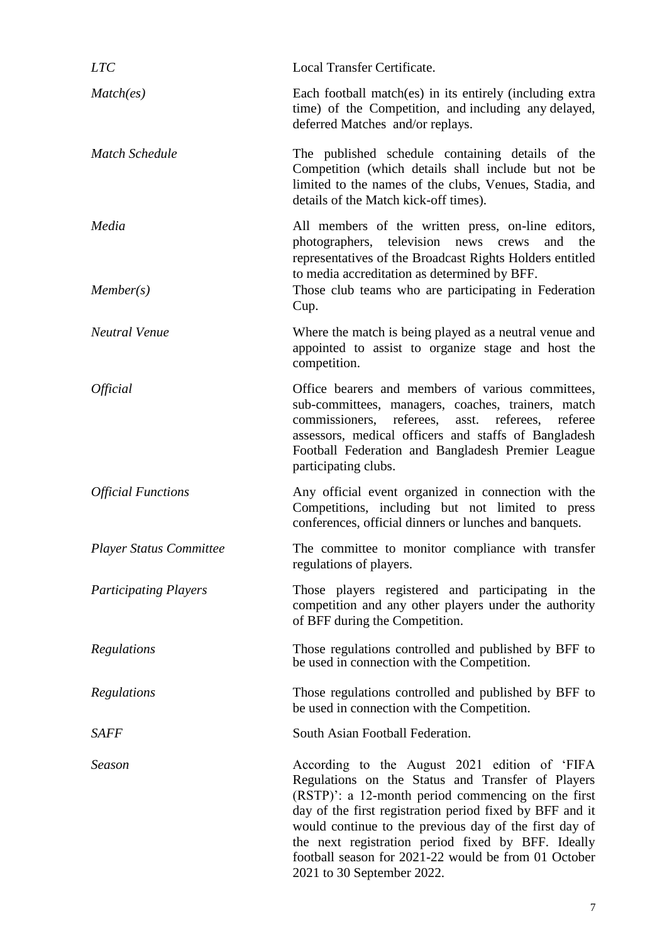| <b>LTC</b>                     | Local Transfer Certificate.                                                                                                                                                                                                                                                                                                                                                                                               |
|--------------------------------|---------------------------------------------------------------------------------------------------------------------------------------------------------------------------------------------------------------------------------------------------------------------------------------------------------------------------------------------------------------------------------------------------------------------------|
| Match(es)                      | Each football match(es) in its entirely (including extra<br>time) of the Competition, and including any delayed,<br>deferred Matches and/or replays.                                                                                                                                                                                                                                                                      |
| <b>Match Schedule</b>          | The published schedule containing details of the<br>Competition (which details shall include but not be<br>limited to the names of the clubs, Venues, Stadia, and<br>details of the Match kick-off times).                                                                                                                                                                                                                |
| Media<br>Member(s)             | All members of the written press, on-line editors,<br>photographers, television news crews<br>and<br>the<br>representatives of the Broadcast Rights Holders entitled<br>to media accreditation as determined by BFF.<br>Those club teams who are participating in Federation                                                                                                                                              |
|                                | Cup.                                                                                                                                                                                                                                                                                                                                                                                                                      |
| <b>Neutral Venue</b>           | Where the match is being played as a neutral venue and<br>appointed to assist to organize stage and host the<br>competition.                                                                                                                                                                                                                                                                                              |
| <i><b>Official</b></i>         | Office bearers and members of various committees,<br>sub-committees, managers, coaches, trainers, match<br>referees,<br>commissioners,<br>referees,<br>referee<br>asst.<br>assessors, medical officers and staffs of Bangladesh<br>Football Federation and Bangladesh Premier League<br>participating clubs.                                                                                                              |
| <b>Official Functions</b>      | Any official event organized in connection with the<br>Competitions, including but not limited to press<br>conferences, official dinners or lunches and banquets.                                                                                                                                                                                                                                                         |
| <b>Player Status Committee</b> | The committee to monitor compliance with transfer<br>regulations of players.                                                                                                                                                                                                                                                                                                                                              |
| <b>Participating Players</b>   | Those players registered and participating in the<br>competition and any other players under the authority<br>of BFF during the Competition.                                                                                                                                                                                                                                                                              |
| Regulations                    | Those regulations controlled and published by BFF to<br>be used in connection with the Competition.                                                                                                                                                                                                                                                                                                                       |
| Regulations                    | Those regulations controlled and published by BFF to<br>be used in connection with the Competition.                                                                                                                                                                                                                                                                                                                       |
| SAFF                           | South Asian Football Federation.                                                                                                                                                                                                                                                                                                                                                                                          |
| Season                         | According to the August 2021 edition of 'FIFA<br>Regulations on the Status and Transfer of Players<br>(RSTP): a 12-month period commencing on the first<br>day of the first registration period fixed by BFF and it<br>would continue to the previous day of the first day of<br>the next registration period fixed by BFF. Ideally<br>football season for 2021-22 would be from 01 October<br>2021 to 30 September 2022. |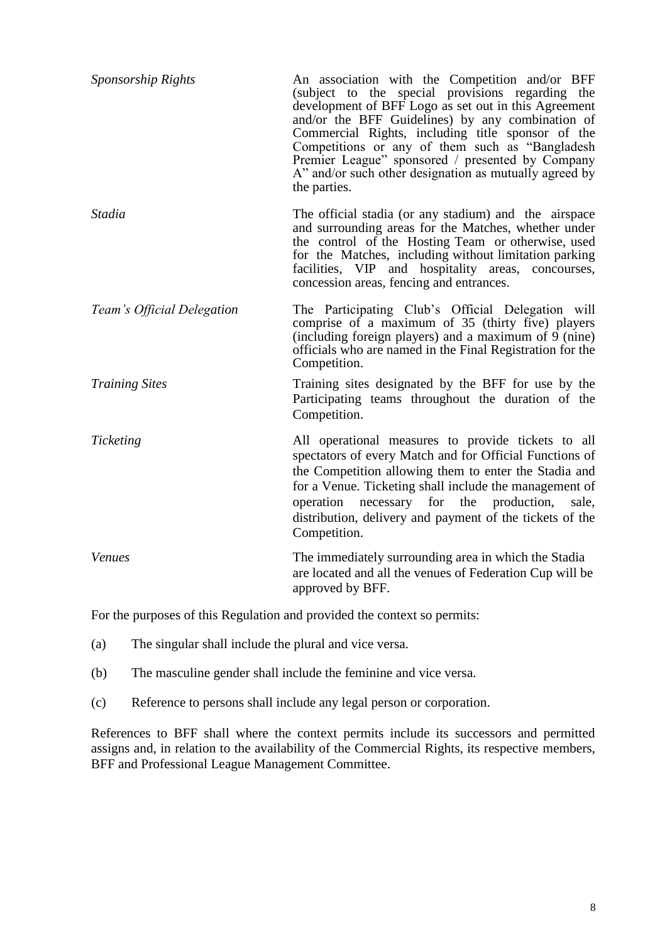| Sponsorship Rights         | An association with the Competition and/or BFF<br>(subject to the special provisions regarding the<br>development of BFF Logo as set out in this Agreement<br>and/or the BFF Guidelines) by any combination of<br>Commercial Rights, including title sponsor of the<br>Competitions or any of them such as "Bangladesh<br>Premier League" sponsored / presented by Company<br>A" and/or such other designation as mutually agreed by<br>the parties. |
|----------------------------|------------------------------------------------------------------------------------------------------------------------------------------------------------------------------------------------------------------------------------------------------------------------------------------------------------------------------------------------------------------------------------------------------------------------------------------------------|
| Stadia                     | The official stadia (or any stadium) and the airspace<br>and surrounding areas for the Matches, whether under<br>the control of the Hosting Team or otherwise, used<br>for the Matches, including without limitation parking<br>facilities, VIP and hospitality areas, concourses,<br>concession areas, fencing and entrances.                                                                                                                       |
| Team's Official Delegation | The Participating Club's Official Delegation will<br>comprise of a maximum of 35 (thirty five) players<br>(including foreign players) and a maximum of $9$ (nine)<br>officials who are named in the Final Registration for the<br>Competition.                                                                                                                                                                                                       |
| <b>Training Sites</b>      | Training sites designated by the BFF for use by the<br>Participating teams throughout the duration of the<br>Competition.                                                                                                                                                                                                                                                                                                                            |
| Ticketing                  | All operational measures to provide tickets to all<br>spectators of every Match and for Official Functions of<br>the Competition allowing them to enter the Stadia and<br>for a Venue. Ticketing shall include the management of<br>operation necessary for the production,<br>sale,<br>distribution, delivery and payment of the tickets of the<br>Competition.                                                                                     |
| <b>Venues</b>              | The immediately surrounding area in which the Stadia<br>are located and all the venues of Federation Cup will be<br>approved by BFF.                                                                                                                                                                                                                                                                                                                 |

For the purposes of this Regulation and provided the context so permits:

- (a) The singular shall include the plural and vice versa.
- (b) The masculine gender shall include the feminine and vice versa.
- (c) Reference to persons shall include any legal person or corporation.

References to BFF shall where the context permits include its successors and permitted assigns and, in relation to the availability of the Commercial Rights, its respective members, BFF and Professional League Management Committee.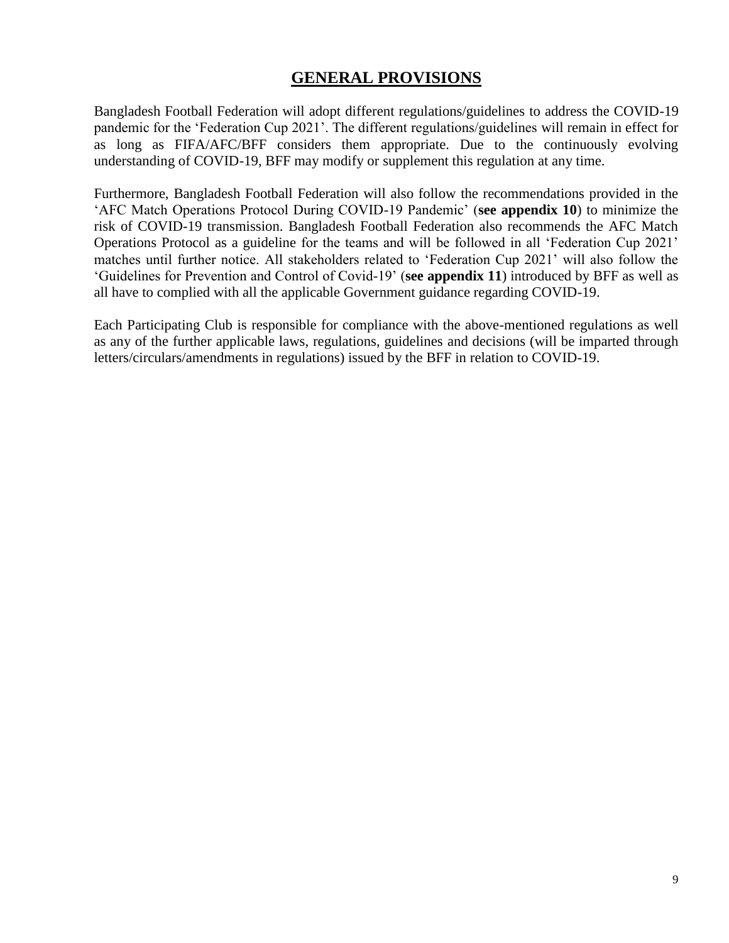# **GENERAL PROVISIONS**

Bangladesh Football Federation will adopt different regulations/guidelines to address the COVID-19 pandemic for the "Federation Cup 2021". The different regulations/guidelines will remain in effect for as long as FIFA/AFC/BFF considers them appropriate. Due to the continuously evolving understanding of COVID-19, BFF may modify or supplement this regulation at any time.

Furthermore, Bangladesh Football Federation will also follow the recommendations provided in the "AFC Match Operations Protocol During COVID-19 Pandemic" (**see appendix 10**) to minimize the risk of COVID-19 transmission. Bangladesh Football Federation also recommends the AFC Match Operations Protocol as a guideline for the teams and will be followed in all "Federation Cup 2021" matches until further notice. All stakeholders related to "Federation Cup 2021" will also follow the "Guidelines for Prevention and Control of Covid-19" (**see appendix 11**) introduced by BFF as well as all have to complied with all the applicable Government guidance regarding COVID-19.

Each Participating Club is responsible for compliance with the above-mentioned regulations as well as any of the further applicable laws, regulations, guidelines and decisions (will be imparted through letters/circulars/amendments in regulations) issued by the BFF in relation to COVID-19.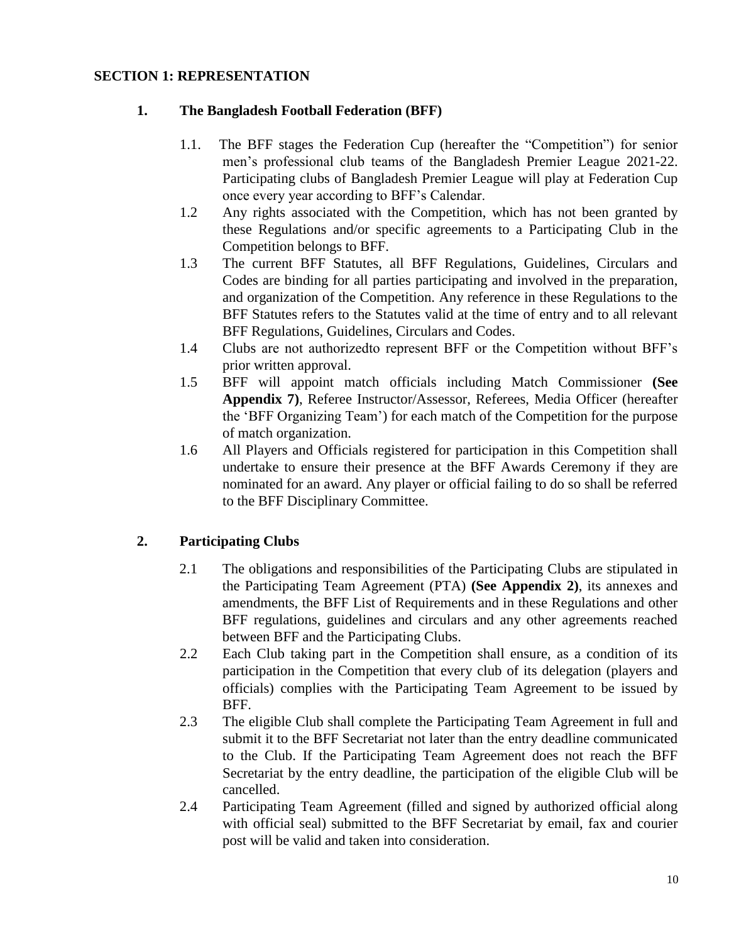#### **SECTION 1: REPRESENTATION**

### **1. The Bangladesh Football Federation (BFF)**

- 1.1. The BFF stages the Federation Cup (hereafter the "Competition") for senior men"s professional club teams of the Bangladesh Premier League 2021-22. Participating clubs of Bangladesh Premier League will play at Federation Cup once every year according to BFF"s Calendar.
- 1.2 Any rights associated with the Competition, which has not been granted by these Regulations and/or specific agreements to a Participating Club in the Competition belongs to BFF.
- 1.3 The current BFF Statutes, all BFF Regulations, Guidelines, Circulars and Codes are binding for all parties participating and involved in the preparation, and organization of the Competition. Any reference in these Regulations to the BFF Statutes refers to the Statutes valid at the time of entry and to all relevant BFF Regulations, Guidelines, Circulars and Codes.
- 1.4 Clubs are not authorizedto represent BFF or the Competition without BFF"s prior written approval.
- 1.5 BFF will appoint match officials including Match Commissioner **(See Appendix 7)**, Referee Instructor/Assessor, Referees, Media Officer (hereafter the "BFF Organizing Team") for each match of the Competition for the purpose of match organization.
- 1.6 All Players and Officials registered for participation in this Competition shall undertake to ensure their presence at the BFF Awards Ceremony if they are nominated for an award. Any player or official failing to do so shall be referred to the BFF Disciplinary Committee.

## **2. Participating Clubs**

- 2.1 The obligations and responsibilities of the Participating Clubs are stipulated in the Participating Team Agreement (PTA) **(See Appendix 2)**, its annexes and amendments, the BFF List of Requirements and in these Regulations and other BFF regulations, guidelines and circulars and any other agreements reached between BFF and the Participating Clubs.
- 2.2 Each Club taking part in the Competition shall ensure, as a condition of its participation in the Competition that every club of its delegation (players and officials) complies with the Participating Team Agreement to be issued by BFF.
- 2.3 The eligible Club shall complete the Participating Team Agreement in full and submit it to the BFF Secretariat not later than the entry deadline communicated to the Club. If the Participating Team Agreement does not reach the BFF Secretariat by the entry deadline, the participation of the eligible Club will be cancelled.
- 2.4 Participating Team Agreement (filled and signed by authorized official along with official seal) submitted to the BFF Secretariat by email, fax and courier post will be valid and taken into consideration.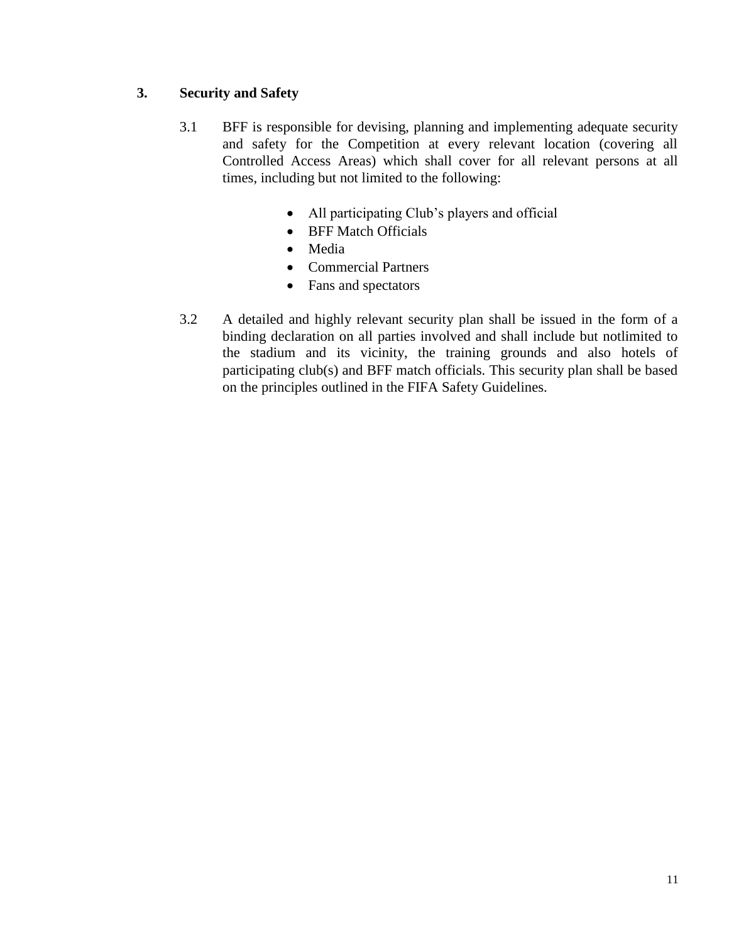## **3. Security and Safety**

- 3.1 BFF is responsible for devising, planning and implementing adequate security and safety for the Competition at every relevant location (covering all Controlled Access Areas) which shall cover for all relevant persons at all times, including but not limited to the following:
	- All participating Club"s players and official
	- BFF Match Officials
	- Media
	- Commercial Partners
	- Fans and spectators
- 3.2 A detailed and highly relevant security plan shall be issued in the form of a binding declaration on all parties involved and shall include but notlimited to the stadium and its vicinity, the training grounds and also hotels of participating club(s) and BFF match officials. This security plan shall be based on the principles outlined in the FIFA Safety Guidelines.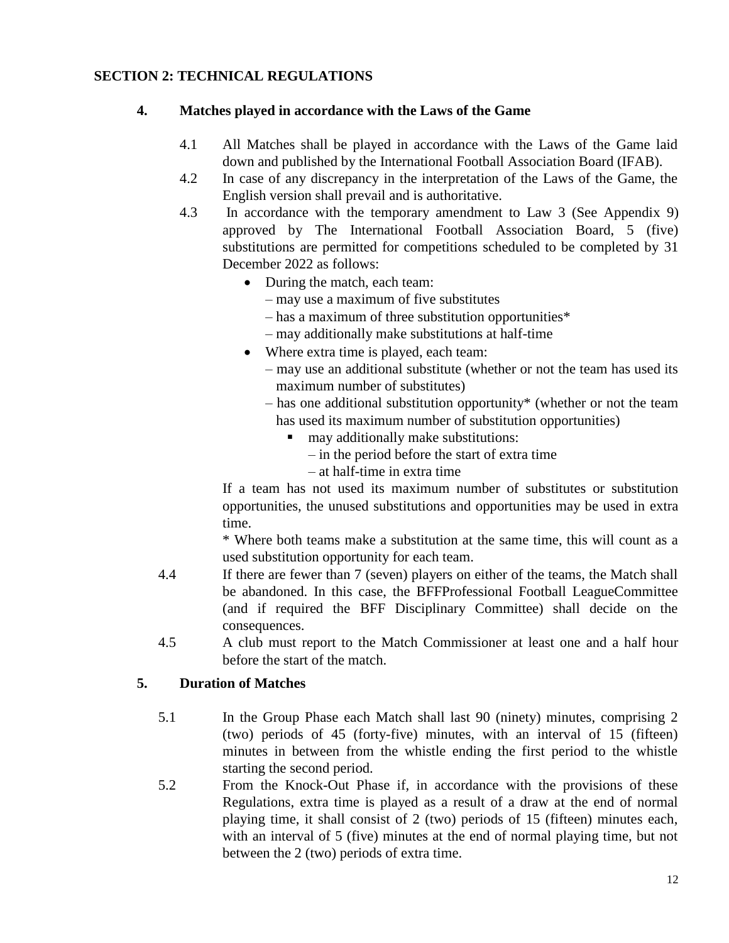## **SECTION 2: TECHNICAL REGULATIONS**

#### **4. Matches played in accordance with the Laws of the Game**

- 4.1 All Matches shall be played in accordance with the Laws of the Game laid down and published by the International Football Association Board (IFAB).
- 4.2 In case of any discrepancy in the interpretation of the Laws of the Game, the English version shall prevail and is authoritative.
- 4.3 In accordance with the temporary amendment to Law 3 (See Appendix 9) approved by The International Football Association Board, 5 (five) substitutions are permitted for competitions scheduled to be completed by 31 December 2022 as follows:
	- During the match, each team:
		- may use a maximum of five substitutes
		- has a maximum of three substitution opportunities\*
		- may additionally make substitutions at half-time
	- Where extra time is played, each team:
		- may use an additional substitute (whether or not the team has used its maximum number of substitutes)
		- has one additional substitution opportunity\* (whether or not the team has used its maximum number of substitution opportunities)
			- may additionally make substitutions:
				- in the period before the start of extra time
				- at half-time in extra time

If a team has not used its maximum number of substitutes or substitution opportunities, the unused substitutions and opportunities may be used in extra time.

\* Where both teams make a substitution at the same time, this will count as a used substitution opportunity for each team.

- 4.4 If there are fewer than 7 (seven) players on either of the teams, the Match shall be abandoned. In this case, the BFFProfessional Football LeagueCommittee (and if required the BFF Disciplinary Committee) shall decide on the consequences.
- 4.5 A club must report to the Match Commissioner at least one and a half hour before the start of the match.

## **5. Duration of Matches**

- 5.1 In the Group Phase each Match shall last 90 (ninety) minutes, comprising 2 (two) periods of 45 (forty-five) minutes, with an interval of 15 (fifteen) minutes in between from the whistle ending the first period to the whistle starting the second period.
- 5.2 From the Knock-Out Phase if, in accordance with the provisions of these Regulations, extra time is played as a result of a draw at the end of normal playing time, it shall consist of 2 (two) periods of 15 (fifteen) minutes each, with an interval of 5 (five) minutes at the end of normal playing time, but not between the 2 (two) periods of extra time.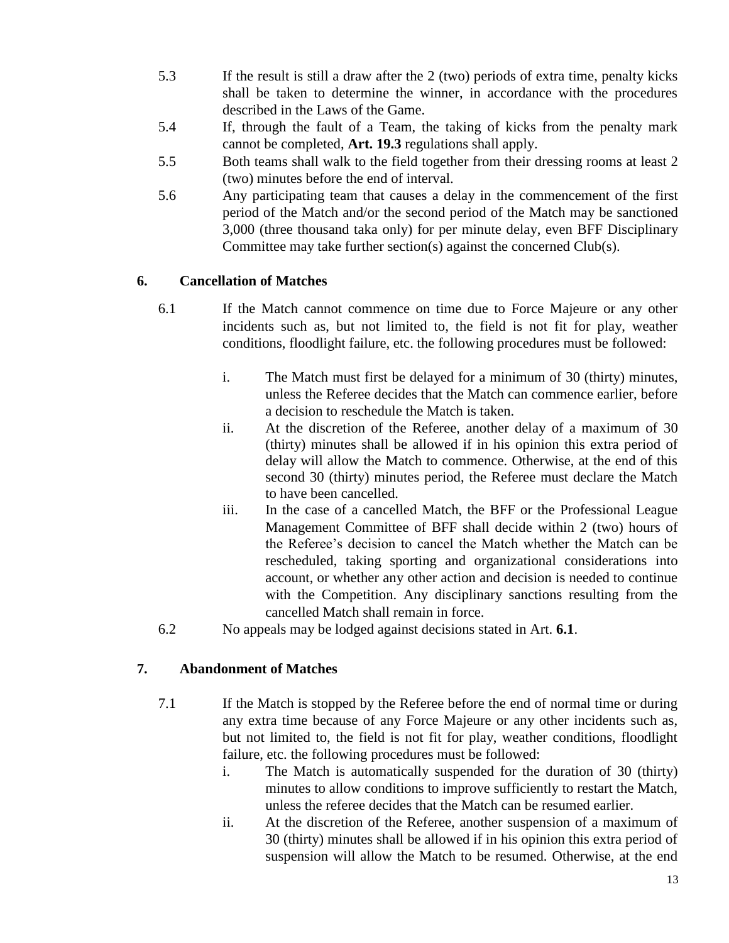- 5.3 If the result is still a draw after the 2 (two) periods of extra time, penalty kicks shall be taken to determine the winner, in accordance with the procedures described in the Laws of the Game.
- 5.4 If, through the fault of a Team, the taking of kicks from the penalty mark cannot be completed, **Art. 19.3** regulations shall apply.
- 5.5 Both teams shall walk to the field together from their dressing rooms at least 2 (two) minutes before the end of interval.
- 5.6 Any participating team that causes a delay in the commencement of the first period of the Match and/or the second period of the Match may be sanctioned 3,000 (three thousand taka only) for per minute delay, even BFF Disciplinary Committee may take further section(s) against the concerned Club(s).

## **6. Cancellation of Matches**

- 6.1 If the Match cannot commence on time due to Force Majeure or any other incidents such as, but not limited to, the field is not fit for play, weather conditions, floodlight failure, etc. the following procedures must be followed:
	- i. The Match must first be delayed for a minimum of 30 (thirty) minutes, unless the Referee decides that the Match can commence earlier, before a decision to reschedule the Match is taken.
	- ii. At the discretion of the Referee, another delay of a maximum of 30 (thirty) minutes shall be allowed if in his opinion this extra period of delay will allow the Match to commence. Otherwise, at the end of this second 30 (thirty) minutes period, the Referee must declare the Match to have been cancelled.
	- iii. In the case of a cancelled Match, the BFF or the Professional League Management Committee of BFF shall decide within 2 (two) hours of the Referee"s decision to cancel the Match whether the Match can be rescheduled, taking sporting and organizational considerations into account, or whether any other action and decision is needed to continue with the Competition. Any disciplinary sanctions resulting from the cancelled Match shall remain in force.
- 6.2 No appeals may be lodged against decisions stated in Art. **6.1**.

## **7. Abandonment of Matches**

- 7.1 If the Match is stopped by the Referee before the end of normal time or during any extra time because of any Force Majeure or any other incidents such as, but not limited to, the field is not fit for play, weather conditions, floodlight failure, etc. the following procedures must be followed:
	- i. The Match is automatically suspended for the duration of 30 (thirty) minutes to allow conditions to improve sufficiently to restart the Match, unless the referee decides that the Match can be resumed earlier.
	- ii. At the discretion of the Referee, another suspension of a maximum of 30 (thirty) minutes shall be allowed if in his opinion this extra period of suspension will allow the Match to be resumed. Otherwise, at the end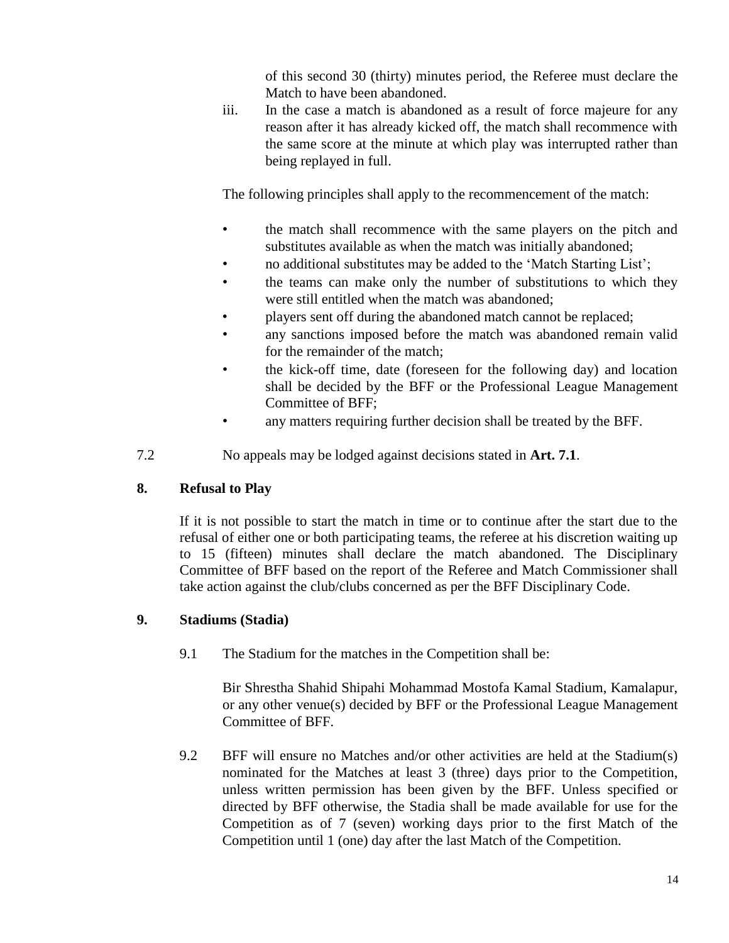of this second 30 (thirty) minutes period, the Referee must declare the Match to have been abandoned.

iii. In the case a match is abandoned as a result of force majeure for any reason after it has already kicked off, the match shall recommence with the same score at the minute at which play was interrupted rather than being replayed in full.

The following principles shall apply to the recommencement of the match:

- the match shall recommence with the same players on the pitch and substitutes available as when the match was initially abandoned;
- no additional substitutes may be added to the "Match Starting List";
- the teams can make only the number of substitutions to which they were still entitled when the match was abandoned;
- players sent off during the abandoned match cannot be replaced;
- any sanctions imposed before the match was abandoned remain valid for the remainder of the match;
	- the kick-off time, date (foreseen for the following day) and location shall be decided by the BFF or the Professional League Management Committee of BFF;
- any matters requiring further decision shall be treated by the BFF.
- 7.2 No appeals may be lodged against decisions stated in **Art. 7.1**.

## **8. Refusal to Play**

If it is not possible to start the match in time or to continue after the start due to the refusal of either one or both participating teams, the referee at his discretion waiting up to 15 (fifteen) minutes shall declare the match abandoned. The Disciplinary Committee of BFF based on the report of the Referee and Match Commissioner shall take action against the club/clubs concerned as per the BFF Disciplinary Code.

## **9. Stadiums (Stadia)**

9.1 The Stadium for the matches in the Competition shall be:

Bir Shrestha Shahid Shipahi Mohammad Mostofa Kamal Stadium, Kamalapur, or any other venue(s) decided by BFF or the Professional League Management Committee of BFF.

9.2 BFF will ensure no Matches and/or other activities are held at the Stadium(s) nominated for the Matches at least 3 (three) days prior to the Competition, unless written permission has been given by the BFF. Unless specified or directed by BFF otherwise, the Stadia shall be made available for use for the Competition as of 7 (seven) working days prior to the first Match of the Competition until 1 (one) day after the last Match of the Competition.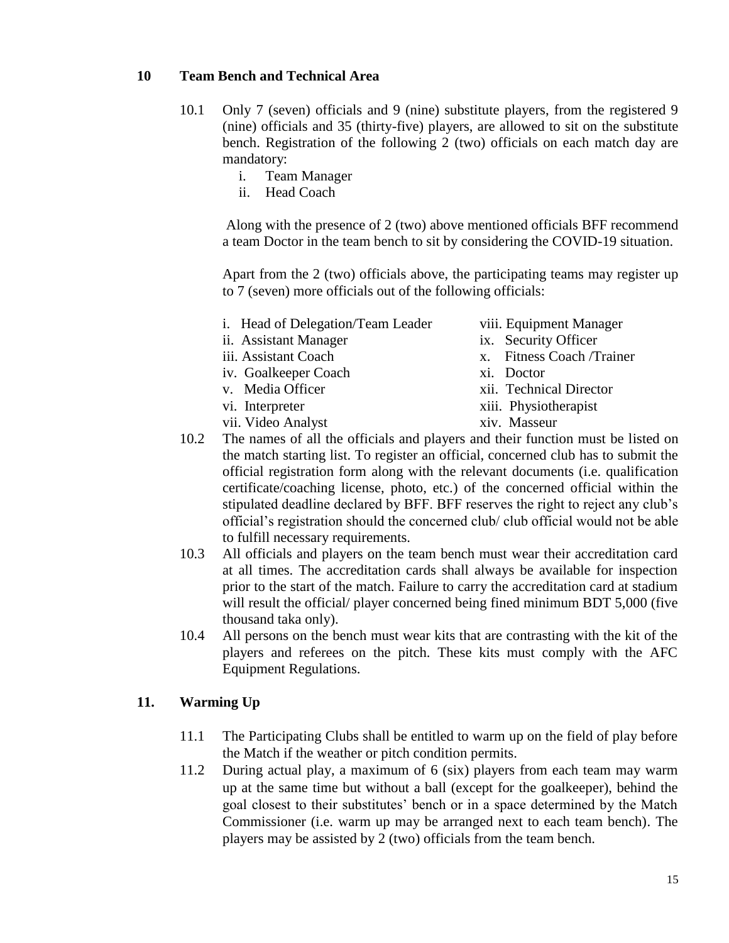#### **10 Team Bench and Technical Area**

- 10.1 Only 7 (seven) officials and 9 (nine) substitute players, from the registered 9 (nine) officials and 35 (thirty-five) players, are allowed to sit on the substitute bench. Registration of the following 2 (two) officials on each match day are mandatory:
	- i. Team Manager
	- ii. Head Coach

Along with the presence of 2 (two) above mentioned officials BFF recommend a team Doctor in the team bench to sit by considering the COVID-19 situation.

Apart from the 2 (two) officials above, the participating teams may register up to 7 (seven) more officials out of the following officials:

- i. Head of Delegation/Team Leader viii. Equipment Manager
- ii. Assistant Manager ix. Security Officer
- 
- iv. Goalkeeper Coach xi. Doctor
- 
- 
- vii. Video Analyst xiv. Masseur
- -
- iii. Assistant Coach x. Fitness Coach /Trainer
	-
- v. Media Officer xii. Technical Director
- vi. Interpreter xiii. Physiotherapist
	-
- 10.2 The names of all the officials and players and their function must be listed on the match starting list. To register an official, concerned club has to submit the official registration form along with the relevant documents (i.e. qualification certificate/coaching license, photo, etc.) of the concerned official within the stipulated deadline declared by BFF. BFF reserves the right to reject any club"s official"s registration should the concerned club/ club official would not be able to fulfill necessary requirements.
- 10.3 All officials and players on the team bench must wear their accreditation card at all times. The accreditation cards shall always be available for inspection prior to the start of the match. Failure to carry the accreditation card at stadium will result the official/ player concerned being fined minimum BDT 5,000 (five thousand taka only).
- 10.4 All persons on the bench must wear kits that are contrasting with the kit of the players and referees on the pitch. These kits must comply with the AFC Equipment Regulations.

#### **11. Warming Up**

- 11.1 The Participating Clubs shall be entitled to warm up on the field of play before the Match if the weather or pitch condition permits.
- 11.2 During actual play, a maximum of 6 (six) players from each team may warm up at the same time but without a ball (except for the goalkeeper), behind the goal closest to their substitutes" bench or in a space determined by the Match Commissioner (i.e. warm up may be arranged next to each team bench). The players may be assisted by 2 (two) officials from the team bench.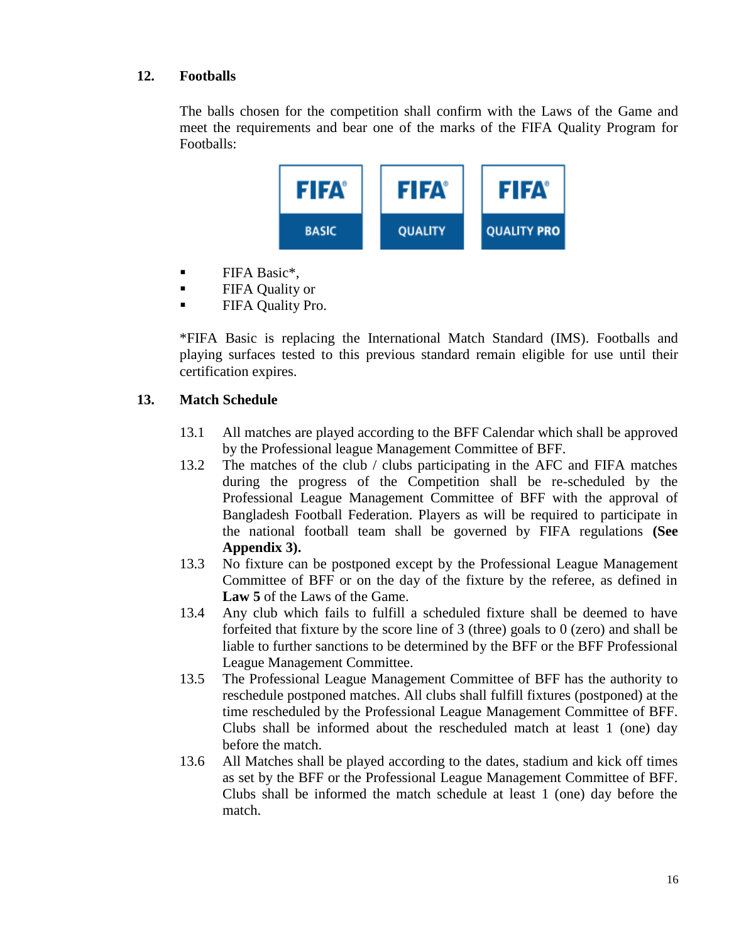## **12. Footballs**

The balls chosen for the competition shall confirm with the Laws of the Game and meet the requirements and bear one of the marks of the FIFA Quality Program for Footballs:



- $\blacksquare$  FIFA Basic\*,
- **FIFA Quality or**
- **FIFA Quality Pro.**

\*FIFA Basic is replacing the International Match Standard (IMS). Footballs and playing surfaces tested to this previous standard remain eligible for use until their certification expires.

## **13. Match Schedule**

- 13.1 All matches are played according to the BFF Calendar which shall be approved by the Professional league Management Committee of BFF.
- 13.2 The matches of the club / clubs participating in the AFC and FIFA matches during the progress of the Competition shall be re-scheduled by the Professional League Management Committee of BFF with the approval of Bangladesh Football Federation. Players as will be required to participate in the national football team shall be governed by FIFA regulations **(See Appendix 3).**
- 13.3 No fixture can be postponed except by the Professional League Management Committee of BFF or on the day of the fixture by the referee, as defined in **Law 5** of the Laws of the Game.
- 13.4 Any club which fails to fulfill a scheduled fixture shall be deemed to have forfeited that fixture by the score line of 3 (three) goals to 0 (zero) and shall be liable to further sanctions to be determined by the BFF or the BFF Professional League Management Committee.
- 13.5 The Professional League Management Committee of BFF has the authority to reschedule postponed matches. All clubs shall fulfill fixtures (postponed) at the time rescheduled by the Professional League Management Committee of BFF. Clubs shall be informed about the rescheduled match at least 1 (one) day before the match.
- 13.6 All Matches shall be played according to the dates, stadium and kick off times as set by the BFF or the Professional League Management Committee of BFF. Clubs shall be informed the match schedule at least 1 (one) day before the match.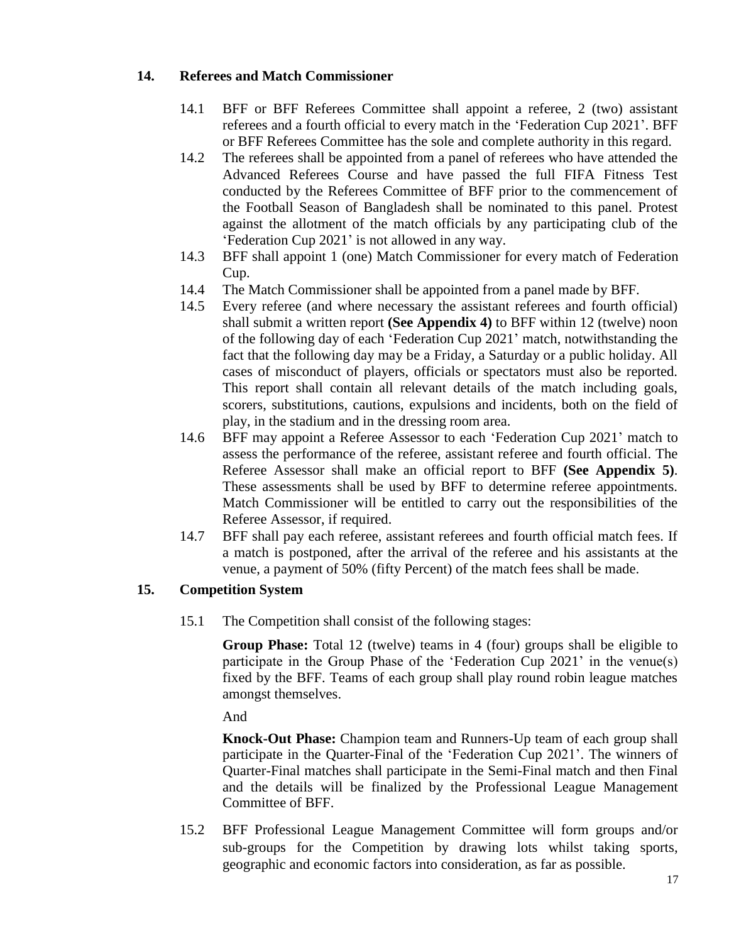## **14. Referees and Match Commissioner**

- 14.1 BFF or BFF Referees Committee shall appoint a referee, 2 (two) assistant referees and a fourth official to every match in the "Federation Cup 2021". BFF or BFF Referees Committee has the sole and complete authority in this regard.
- 14.2 The referees shall be appointed from a panel of referees who have attended the Advanced Referees Course and have passed the full FIFA Fitness Test conducted by the Referees Committee of BFF prior to the commencement of the Football Season of Bangladesh shall be nominated to this panel. Protest against the allotment of the match officials by any participating club of the 'Federation Cup 2021' is not allowed in any way.
- 14.3 BFF shall appoint 1 (one) Match Commissioner for every match of Federation Cup.
- 14.4 The Match Commissioner shall be appointed from a panel made by BFF.
- 14.5 Every referee (and where necessary the assistant referees and fourth official) shall submit a written report **(See Appendix 4)** to BFF within 12 (twelve) noon of the following day of each "Federation Cup 2021" match, notwithstanding the fact that the following day may be a Friday, a Saturday or a public holiday. All cases of misconduct of players, officials or spectators must also be reported. This report shall contain all relevant details of the match including goals, scorers, substitutions, cautions, expulsions and incidents, both on the field of play, in the stadium and in the dressing room area.
- 14.6 BFF may appoint a Referee Assessor to each "Federation Cup 2021" match to assess the performance of the referee, assistant referee and fourth official. The Referee Assessor shall make an official report to BFF **(See Appendix 5)**. These assessments shall be used by BFF to determine referee appointments. Match Commissioner will be entitled to carry out the responsibilities of the Referee Assessor, if required.
- 14.7 BFF shall pay each referee, assistant referees and fourth official match fees. If a match is postponed, after the arrival of the referee and his assistants at the venue, a payment of 50% (fifty Percent) of the match fees shall be made.

## **15. Competition System**

15.1 The Competition shall consist of the following stages:

**Group Phase:** Total 12 (twelve) teams in 4 (four) groups shall be eligible to participate in the Group Phase of the "Federation Cup 2021" in the venue(s) fixed by the BFF. Teams of each group shall play round robin league matches amongst themselves.

And

**Knock-Out Phase:** Champion team and Runners-Up team of each group shall participate in the Quarter-Final of the "Federation Cup 2021". The winners of Quarter-Final matches shall participate in the Semi-Final match and then Final and the details will be finalized by the Professional League Management Committee of BFF.

15.2 BFF Professional League Management Committee will form groups and/or sub-groups for the Competition by drawing lots whilst taking sports, geographic and economic factors into consideration, as far as possible.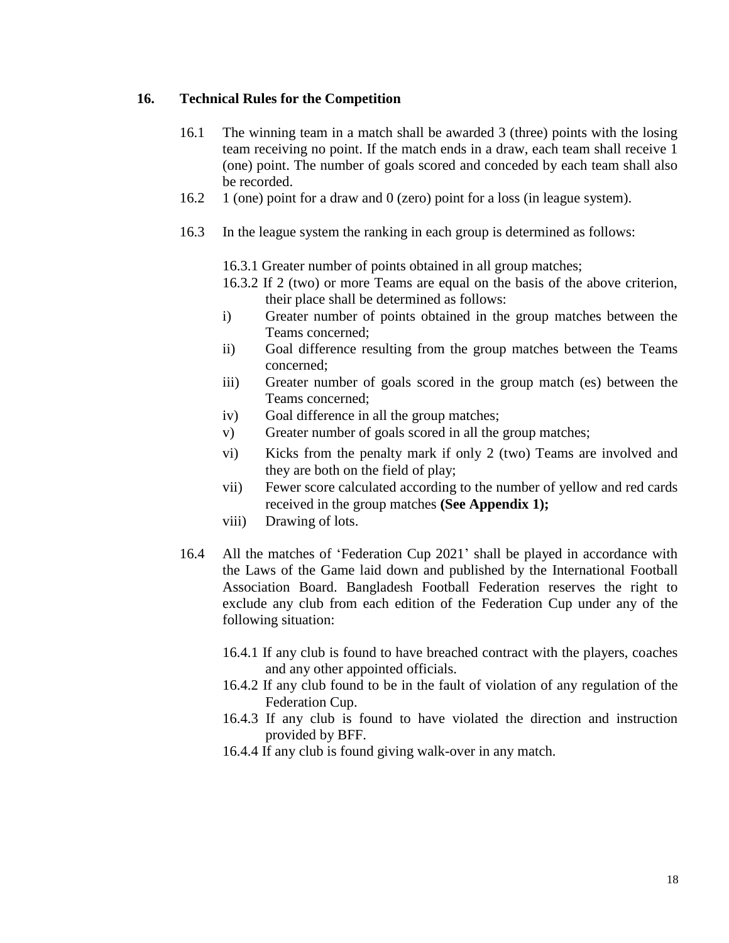#### **16. Technical Rules for the Competition**

- 16.1 The winning team in a match shall be awarded 3 (three) points with the losing team receiving no point. If the match ends in a draw, each team shall receive 1 (one) point. The number of goals scored and conceded by each team shall also be recorded.
- 16.2 1 (one) point for a draw and 0 (zero) point for a loss (in league system).
- 16.3 In the league system the ranking in each group is determined as follows:
	- 16.3.1 Greater number of points obtained in all group matches;
	- 16.3.2 If 2 (two) or more Teams are equal on the basis of the above criterion, their place shall be determined as follows:
	- i) Greater number of points obtained in the group matches between the Teams concerned;
	- ii) Goal difference resulting from the group matches between the Teams concerned;
	- iii) Greater number of goals scored in the group match (es) between the Teams concerned;
	- iv) Goal difference in all the group matches;
	- v) Greater number of goals scored in all the group matches;
	- vi) Kicks from the penalty mark if only 2 (two) Teams are involved and they are both on the field of play;
	- vii) Fewer score calculated according to the number of yellow and red cards received in the group matches **(See Appendix 1);**
	- viii) Drawing of lots.
- 16.4 All the matches of "Federation Cup 2021" shall be played in accordance with the Laws of the Game laid down and published by the International Football Association Board. Bangladesh Football Federation reserves the right to exclude any club from each edition of the Federation Cup under any of the following situation:
	- 16.4.1 If any club is found to have breached contract with the players, coaches and any other appointed officials.
	- 16.4.2 If any club found to be in the fault of violation of any regulation of the Federation Cup.
	- 16.4.3 If any club is found to have violated the direction and instruction provided by BFF.
	- 16.4.4 If any club is found giving walk-over in any match.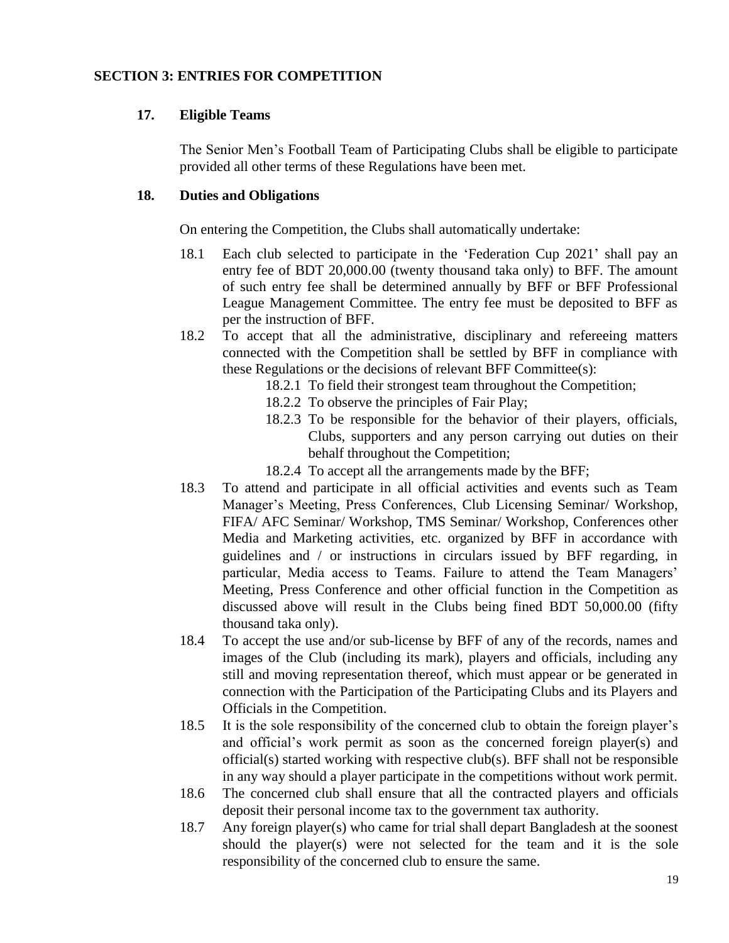#### **SECTION 3: ENTRIES FOR COMPETITION**

#### **17. Eligible Teams**

The Senior Men"s Football Team of Participating Clubs shall be eligible to participate provided all other terms of these Regulations have been met.

#### **18. Duties and Obligations**

On entering the Competition, the Clubs shall automatically undertake:

- 18.1 Each club selected to participate in the "Federation Cup 2021" shall pay an entry fee of BDT 20,000.00 (twenty thousand taka only) to BFF. The amount of such entry fee shall be determined annually by BFF or BFF Professional League Management Committee. The entry fee must be deposited to BFF as per the instruction of BFF.
- 18.2 To accept that all the administrative, disciplinary and refereeing matters connected with the Competition shall be settled by BFF in compliance with these Regulations or the decisions of relevant BFF Committee(s):
	- 18.2.1 To field their strongest team throughout the Competition;
	- 18.2.2 To observe the principles of Fair Play;
	- 18.2.3 To be responsible for the behavior of their players, officials, Clubs, supporters and any person carrying out duties on their behalf throughout the Competition;
	- 18.2.4 To accept all the arrangements made by the BFF;
- 18.3 To attend and participate in all official activities and events such as Team Manager"s Meeting, Press Conferences, Club Licensing Seminar/ Workshop, FIFA/ AFC Seminar/ Workshop, TMS Seminar/ Workshop, Conferences other Media and Marketing activities, etc. organized by BFF in accordance with guidelines and / or instructions in circulars issued by BFF regarding, in particular, Media access to Teams. Failure to attend the Team Managers' Meeting, Press Conference and other official function in the Competition as discussed above will result in the Clubs being fined BDT 50,000.00 (fifty thousand taka only).
- 18.4 To accept the use and/or sub-license by BFF of any of the records, names and images of the Club (including its mark), players and officials, including any still and moving representation thereof, which must appear or be generated in connection with the Participation of the Participating Clubs and its Players and Officials in the Competition.
- 18.5 It is the sole responsibility of the concerned club to obtain the foreign player"s and official"s work permit as soon as the concerned foreign player(s) and official(s) started working with respective club(s). BFF shall not be responsible in any way should a player participate in the competitions without work permit.
- 18.6 The concerned club shall ensure that all the contracted players and officials deposit their personal income tax to the government tax authority.
- 18.7 Any foreign player(s) who came for trial shall depart Bangladesh at the soonest should the player(s) were not selected for the team and it is the sole responsibility of the concerned club to ensure the same.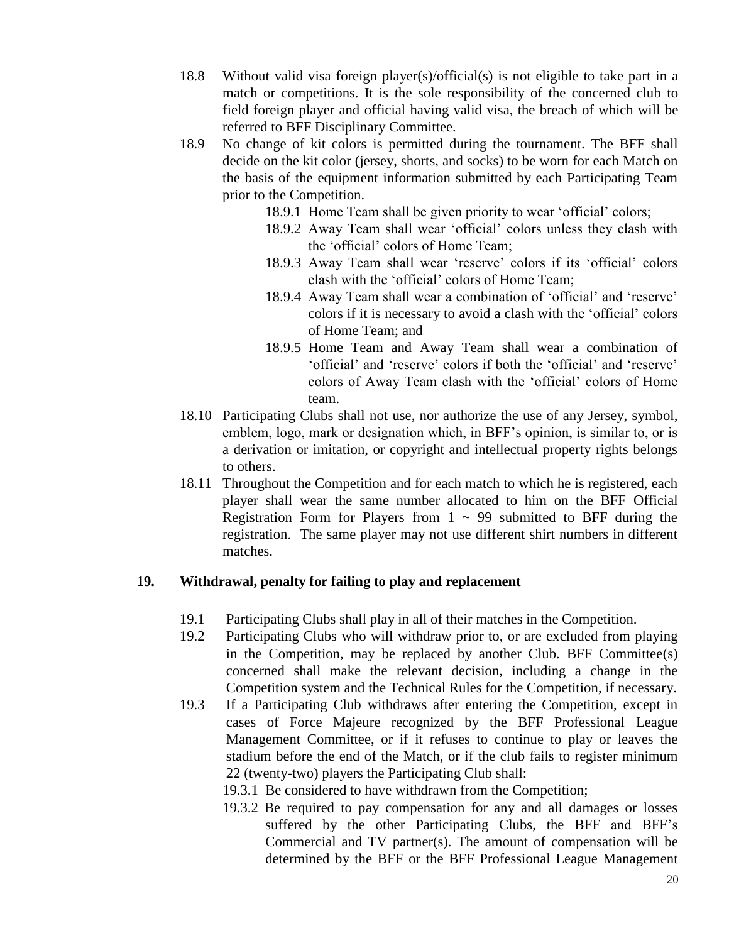- 18.8 Without valid visa foreign player(s)/official(s) is not eligible to take part in a match or competitions. It is the sole responsibility of the concerned club to field foreign player and official having valid visa, the breach of which will be referred to BFF Disciplinary Committee.
- 18.9 No change of kit colors is permitted during the tournament. The BFF shall decide on the kit color (jersey, shorts, and socks) to be worn for each Match on the basis of the equipment information submitted by each Participating Team prior to the Competition.
	- 18.9.1 Home Team shall be given priority to wear 'official' colors;
	- 18.9.2 Away Team shall wear "official" colors unless they clash with the "official" colors of Home Team;
	- 18.9.3 Away Team shall wear 'reserve' colors if its 'official' colors clash with the "official" colors of Home Team;
	- 18.9.4 Away Team shall wear a combination of 'official' and 'reserve' colors if it is necessary to avoid a clash with the "official" colors of Home Team; and
	- 18.9.5 Home Team and Away Team shall wear a combination of 'official' and 'reserve' colors if both the 'official' and 'reserve' colors of Away Team clash with the "official" colors of Home team.
- 18.10 Participating Clubs shall not use, nor authorize the use of any Jersey, symbol, emblem, logo, mark or designation which, in BFF's opinion, is similar to, or is a derivation or imitation, or copyright and intellectual property rights belongs to others.
- 18.11 Throughout the Competition and for each match to which he is registered, each player shall wear the same number allocated to him on the BFF Official Registration Form for Players from  $1 \sim 99$  submitted to BFF during the registration. The same player may not use different shirt numbers in different matches.

## **19. Withdrawal, penalty for failing to play and replacement**

- 19.1 Participating Clubs shall play in all of their matches in the Competition.
- 19.2 Participating Clubs who will withdraw prior to, or are excluded from playing in the Competition, may be replaced by another Club. BFF Committee(s) concerned shall make the relevant decision, including a change in the Competition system and the Technical Rules for the Competition, if necessary.
- 19.3 If a Participating Club withdraws after entering the Competition, except in cases of Force Majeure recognized by the BFF Professional League Management Committee, or if it refuses to continue to play or leaves the stadium before the end of the Match, or if the club fails to register minimum 22 (twenty-two) players the Participating Club shall:
	- 19.3.1 Be considered to have withdrawn from the Competition;
	- 19.3.2 Be required to pay compensation for any and all damages or losses suffered by the other Participating Clubs, the BFF and BFF"s Commercial and TV partner(s). The amount of compensation will be determined by the BFF or the BFF Professional League Management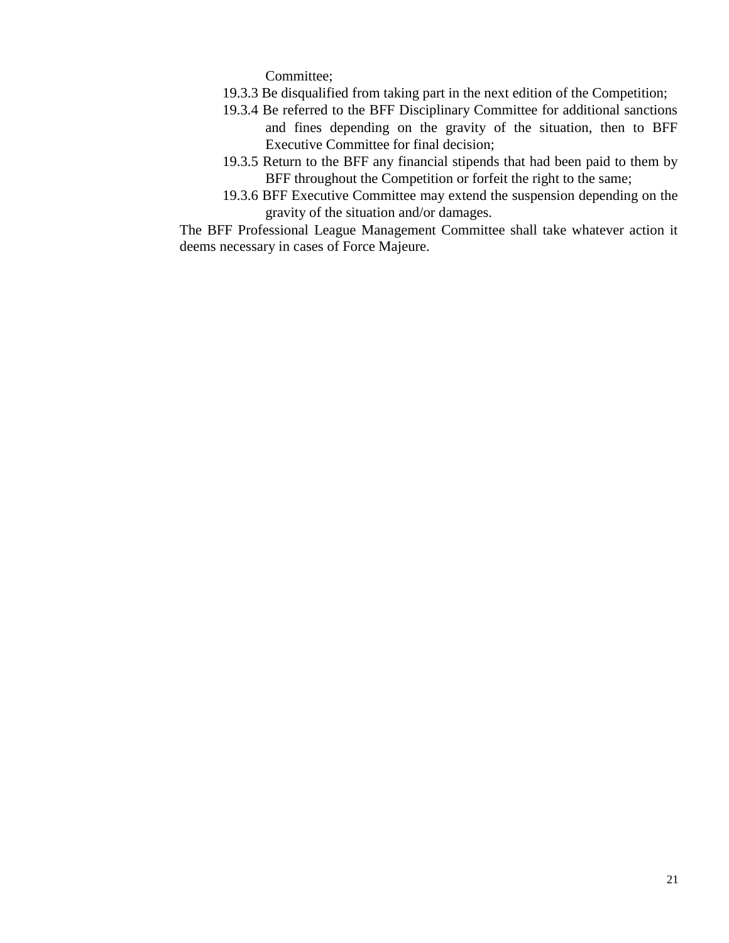Committee;

- 19.3.3 Be disqualified from taking part in the next edition of the Competition;
- 19.3.4 Be referred to the BFF Disciplinary Committee for additional sanctions and fines depending on the gravity of the situation, then to BFF Executive Committee for final decision;
- 19.3.5 Return to the BFF any financial stipends that had been paid to them by BFF throughout the Competition or forfeit the right to the same;
- 19.3.6 BFF Executive Committee may extend the suspension depending on the gravity of the situation and/or damages.

The BFF Professional League Management Committee shall take whatever action it deems necessary in cases of Force Majeure.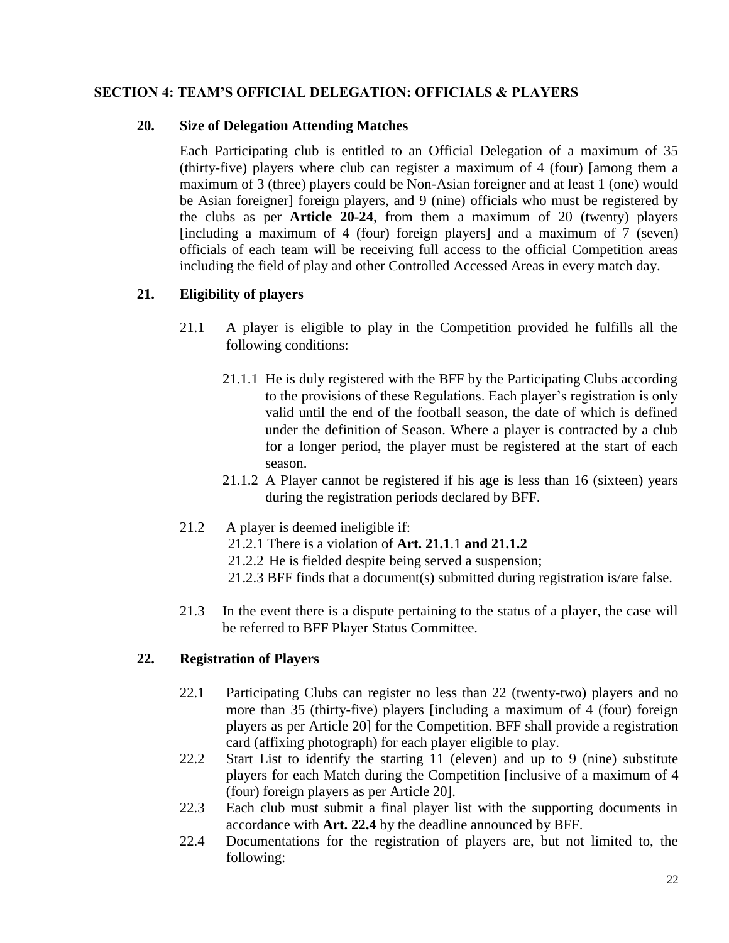## **SECTION 4: TEAM'S OFFICIAL DELEGATION: OFFICIALS & PLAYERS**

#### **20. Size of Delegation Attending Matches**

Each Participating club is entitled to an Official Delegation of a maximum of 35 (thirty-five) players where club can register a maximum of 4 (four) [among them a maximum of 3 (three) players could be Non-Asian foreigner and at least 1 (one) would be Asian foreigner] foreign players, and 9 (nine) officials who must be registered by the clubs as per **Article 20-24**, from them a maximum of 20 (twenty) players [including a maximum of 4 (four) foreign players] and a maximum of 7 (seven) officials of each team will be receiving full access to the official Competition areas including the field of play and other Controlled Accessed Areas in every match day.

## **21. Eligibility of players**

- 21.1 A player is eligible to play in the Competition provided he fulfills all the following conditions:
	- 21.1.1 He is duly registered with the BFF by the Participating Clubs according to the provisions of these Regulations. Each player"s registration is only valid until the end of the football season, the date of which is defined under the definition of Season. Where a player is contracted by a club for a longer period, the player must be registered at the start of each season.
	- 21.1.2 A Player cannot be registered if his age is less than 16 (sixteen) years during the registration periods declared by BFF.

## 21.2 A player is deemed ineligible if:

- 21.2.1 There is a violation of **Art. 21.1**.1 **and 21.1.2**
- 21.2.2 He is fielded despite being served a suspension;
- 21.2.3 BFF finds that a document(s) submitted during registration is/are false.
- 21.3 In the event there is a dispute pertaining to the status of a player, the case will be referred to BFF Player Status Committee.

## **22. Registration of Players**

- 22.1 Participating Clubs can register no less than 22 (twenty-two) players and no more than 35 (thirty-five) players [including a maximum of 4 (four) foreign players as per Article 20] for the Competition. BFF shall provide a registration card (affixing photograph) for each player eligible to play.
- 22.2 Start List to identify the starting 11 (eleven) and up to 9 (nine) substitute players for each Match during the Competition [inclusive of a maximum of 4 (four) foreign players as per Article 20].
- 22.3 Each club must submit a final player list with the supporting documents in accordance with **Art. 22.4** by the deadline announced by BFF.
- 22.4 Documentations for the registration of players are, but not limited to, the following: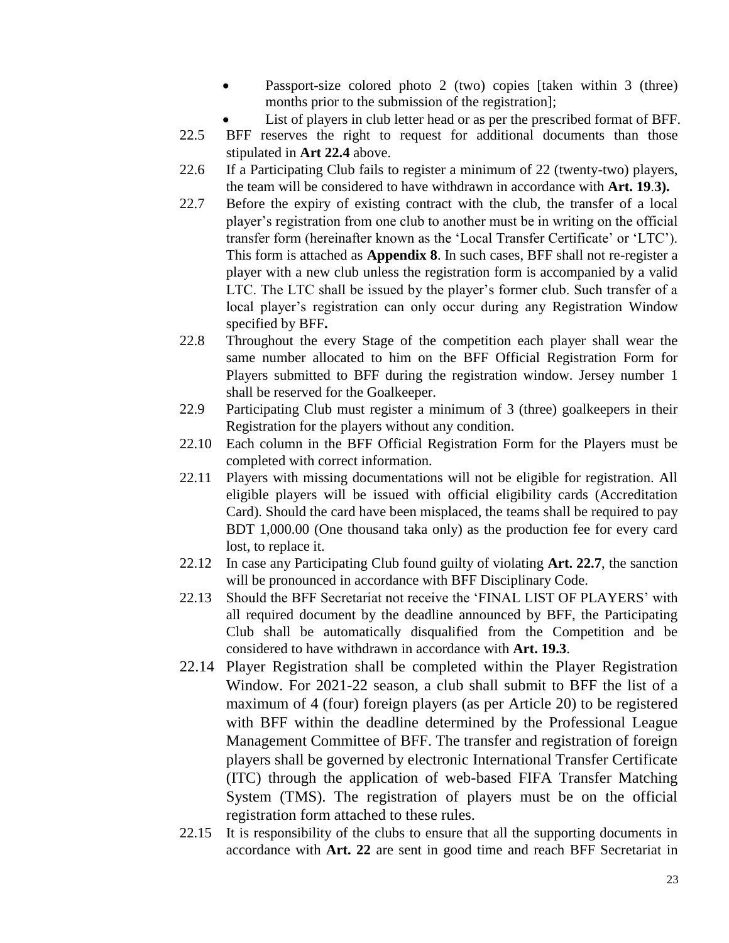- Passport-size colored photo 2 (two) copies [taken within 3 (three) months prior to the submission of the registration];
- List of players in club letter head or as per the prescribed format of BFF.
- 22.5 BFF reserves the right to request for additional documents than those stipulated in **Art 22.4** above.
- 22.6 If a Participating Club fails to register a minimum of 22 (twenty-two) players, the team will be considered to have withdrawn in accordance with **Art. 19**.**3).**
- 22.7 Before the expiry of existing contract with the club, the transfer of a local player"s registration from one club to another must be in writing on the official transfer form (hereinafter known as the 'Local Transfer Certificate' or 'LTC'). This form is attached as **Appendix 8**. In such cases, BFF shall not re-register a player with a new club unless the registration form is accompanied by a valid LTC. The LTC shall be issued by the player's former club. Such transfer of a local player's registration can only occur during any Registration Window specified by BFF**.**
- 22.8 Throughout the every Stage of the competition each player shall wear the same number allocated to him on the BFF Official Registration Form for Players submitted to BFF during the registration window. Jersey number 1 shall be reserved for the Goalkeeper.
- 22.9 Participating Club must register a minimum of 3 (three) goalkeepers in their Registration for the players without any condition.
- 22.10 Each column in the BFF Official Registration Form for the Players must be completed with correct information.
- 22.11 Players with missing documentations will not be eligible for registration. All eligible players will be issued with official eligibility cards (Accreditation Card). Should the card have been misplaced, the teams shall be required to pay BDT 1,000.00 (One thousand taka only) as the production fee for every card lost, to replace it.
- 22.12 In case any Participating Club found guilty of violating **Art. 22.7**, the sanction will be pronounced in accordance with BFF Disciplinary Code.
- 22.13 Should the BFF Secretariat not receive the 'FINAL LIST OF PLAYERS' with all required document by the deadline announced by BFF, the Participating Club shall be automatically disqualified from the Competition and be considered to have withdrawn in accordance with **Art. 19.3**.
- 22.14 Player Registration shall be completed within the Player Registration Window. For 2021-22 season, a club shall submit to BFF the list of a maximum of 4 (four) foreign players (as per Article 20) to be registered with BFF within the deadline determined by the Professional League Management Committee of BFF. The transfer and registration of foreign players shall be governed by electronic International Transfer Certificate (ITC) through the application of web-based FIFA Transfer Matching System (TMS). The registration of players must be on the official registration form attached to these rules.
- 22.15 It is responsibility of the clubs to ensure that all the supporting documents in accordance with **Art. 22** are sent in good time and reach BFF Secretariat in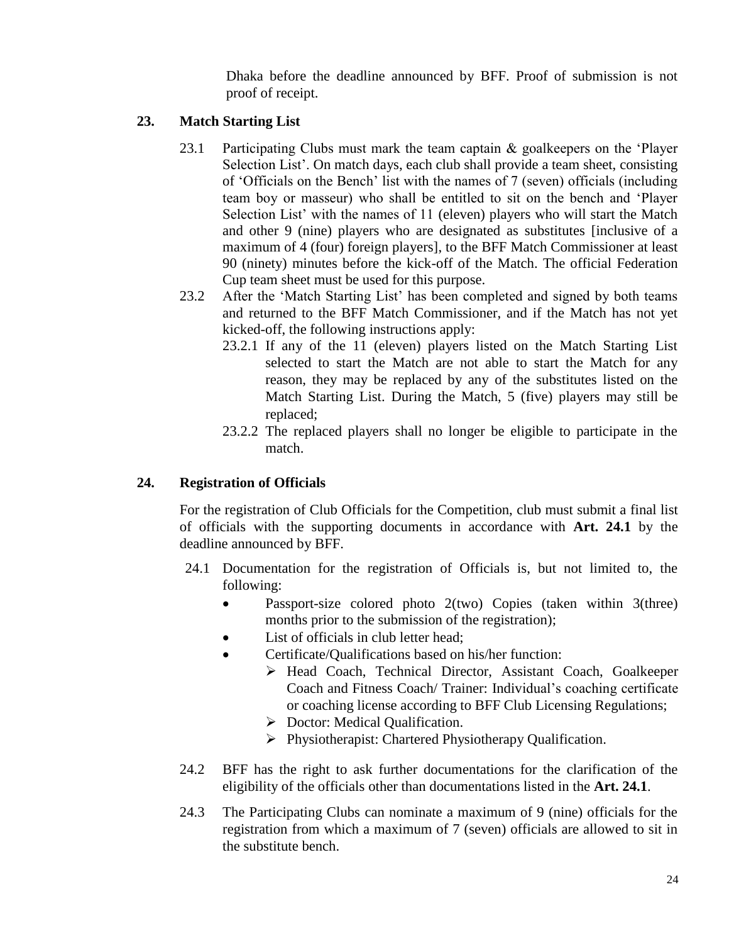Dhaka before the deadline announced by BFF. Proof of submission is not proof of receipt.

## **23. Match Starting List**

- 23.1 Participating Clubs must mark the team captain  $\&$  goalkeepers on the 'Player' Selection List'. On match days, each club shall provide a team sheet, consisting of "Officials on the Bench" list with the names of 7 (seven) officials (including team boy or masseur) who shall be entitled to sit on the bench and "Player Selection List' with the names of 11 (eleven) players who will start the Match and other 9 (nine) players who are designated as substitutes [inclusive of a maximum of 4 (four) foreign players], to the BFF Match Commissioner at least 90 (ninety) minutes before the kick-off of the Match. The official Federation Cup team sheet must be used for this purpose.
- 23.2 After the "Match Starting List" has been completed and signed by both teams and returned to the BFF Match Commissioner, and if the Match has not yet kicked-off, the following instructions apply:
	- 23.2.1 If any of the 11 (eleven) players listed on the Match Starting List selected to start the Match are not able to start the Match for any reason, they may be replaced by any of the substitutes listed on the Match Starting List. During the Match, 5 (five) players may still be replaced;
	- 23.2.2 The replaced players shall no longer be eligible to participate in the match.

## **24. Registration of Officials**

For the registration of Club Officials for the Competition, club must submit a final list of officials with the supporting documents in accordance with **Art. 24.1** by the deadline announced by BFF.

- 24.1 Documentation for the registration of Officials is, but not limited to, the following:
	- Passport-size colored photo  $2(two)$  Copies (taken within  $3(three)$ ) months prior to the submission of the registration);
	- List of officials in club letter head:
	- Certificate/Qualifications based on his/her function:
		- > Head Coach, Technical Director, Assistant Coach, Goalkeeper Coach and Fitness Coach/ Trainer: Individual"s coaching certificate or coaching license according to BFF Club Licensing Regulations;
		- $\triangleright$  Doctor: Medical Qualification.
		- Physiotherapist: Chartered Physiotherapy Qualification.
- 24.2 BFF has the right to ask further documentations for the clarification of the eligibility of the officials other than documentations listed in the **Art. 24.1**.
- 24.3 The Participating Clubs can nominate a maximum of 9 (nine) officials for the registration from which a maximum of 7 (seven) officials are allowed to sit in the substitute bench.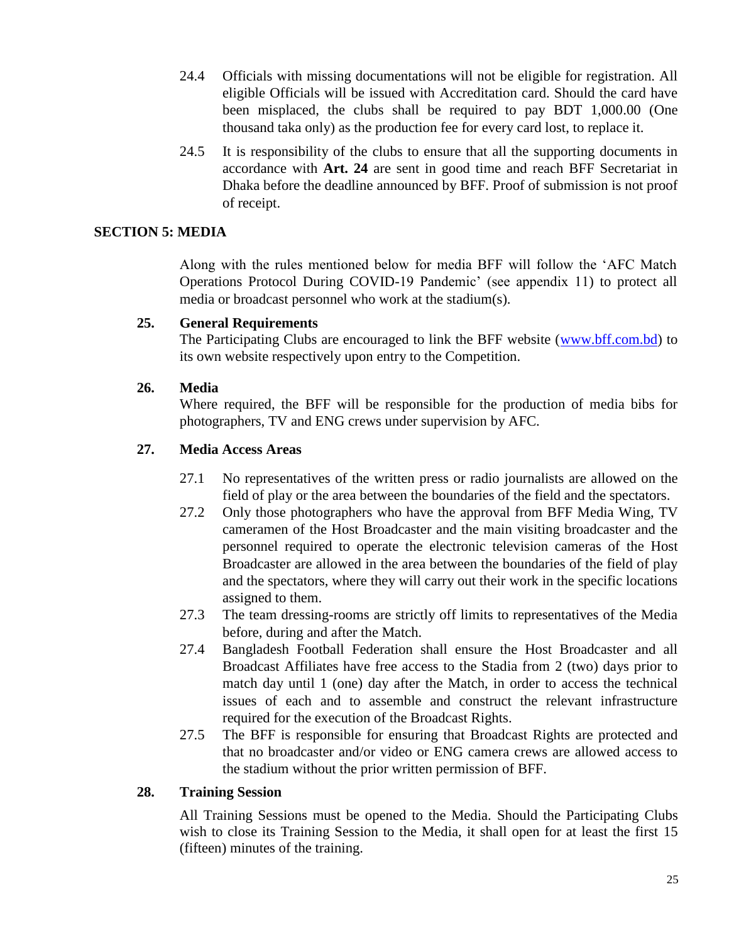- 24.4 Officials with missing documentations will not be eligible for registration. All eligible Officials will be issued with Accreditation card. Should the card have been misplaced, the clubs shall be required to pay BDT 1,000.00 (One thousand taka only) as the production fee for every card lost, to replace it.
- 24.5 It is responsibility of the clubs to ensure that all the supporting documents in accordance with **Art. 24** are sent in good time and reach BFF Secretariat in Dhaka before the deadline announced by BFF. Proof of submission is not proof of receipt.

#### **SECTION 5: MEDIA**

Along with the rules mentioned below for media BFF will follow the "AFC Match Operations Protocol During COVID-19 Pandemic" (see appendix 11) to protect all media or broadcast personnel who work at the stadium(s).

#### **25. General Requirements**

The Participating Clubs are encouraged to link the BFF website [\(www.bff.com.](http://www.bffonline.com/)bd) to its own website respectively upon entry to the Competition.

#### **26. Media**

Where required, the BFF will be responsible for the production of media bibs for photographers, TV and ENG crews under supervision by AFC.

#### **27. Media Access Areas**

- 27.1 No representatives of the written press or radio journalists are allowed on the field of play or the area between the boundaries of the field and the spectators.
- 27.2 Only those photographers who have the approval from BFF Media Wing, TV cameramen of the Host Broadcaster and the main visiting broadcaster and the personnel required to operate the electronic television cameras of the Host Broadcaster are allowed in the area between the boundaries of the field of play and the spectators, where they will carry out their work in the specific locations assigned to them.
- 27.3 The team dressing-rooms are strictly off limits to representatives of the Media before, during and after the Match.
- 27.4 Bangladesh Football Federation shall ensure the Host Broadcaster and all Broadcast Affiliates have free access to the Stadia from 2 (two) days prior to match day until 1 (one) day after the Match, in order to access the technical issues of each and to assemble and construct the relevant infrastructure required for the execution of the Broadcast Rights.
- 27.5 The BFF is responsible for ensuring that Broadcast Rights are protected and that no broadcaster and/or video or ENG camera crews are allowed access to the stadium without the prior written permission of BFF.

#### **28. Training Session**

All Training Sessions must be opened to the Media. Should the Participating Clubs wish to close its Training Session to the Media, it shall open for at least the first 15 (fifteen) minutes of the training.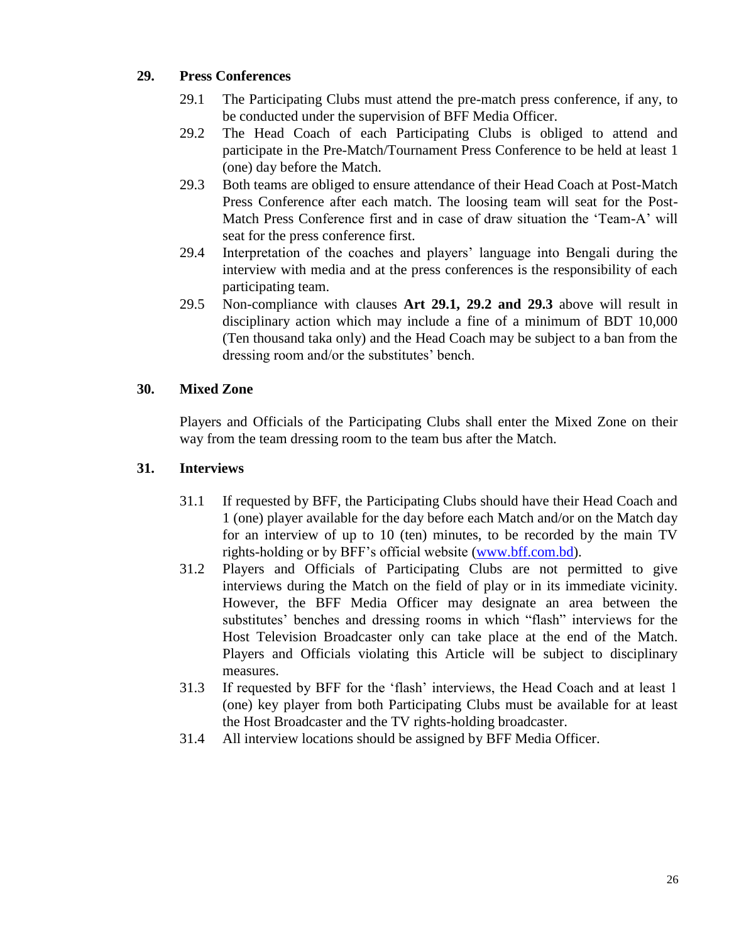## **29. Press Conferences**

- 29.1 The Participating Clubs must attend the pre-match press conference, if any, to be conducted under the supervision of BFF Media Officer.
- 29.2 The Head Coach of each Participating Clubs is obliged to attend and participate in the Pre-Match/Tournament Press Conference to be held at least 1 (one) day before the Match.
- 29.3 Both teams are obliged to ensure attendance of their Head Coach at Post-Match Press Conference after each match. The loosing team will seat for the Post-Match Press Conference first and in case of draw situation the "Team-A" will seat for the press conference first.
- 29.4 Interpretation of the coaches and players" language into Bengali during the interview with media and at the press conferences is the responsibility of each participating team.
- 29.5 Non-compliance with clauses **Art 29.1, 29.2 and 29.3** above will result in disciplinary action which may include a fine of a minimum of BDT 10,000 (Ten thousand taka only) and the Head Coach may be subject to a ban from the dressing room and/or the substitutes' bench.

## **30. Mixed Zone**

Players and Officials of the Participating Clubs shall enter the Mixed Zone on their way from the team dressing room to the team bus after the Match.

## **31. Interviews**

- 31.1 If requested by BFF, the Participating Clubs should have their Head Coach and 1 (one) player available for the day before each Match and/or on the Match day for an interview of up to 10 (ten) minutes, to be recorded by the main TV rights-holding or by BFF"s official website [\(www.bff.com.](http://www.bffonline.com/)bd).
- 31.2 Players and Officials of Participating Clubs are not permitted to give interviews during the Match on the field of play or in its immediate vicinity. However, the BFF Media Officer may designate an area between the substitutes' benches and dressing rooms in which "flash" interviews for the Host Television Broadcaster only can take place at the end of the Match. Players and Officials violating this Article will be subject to disciplinary measures.
- 31.3 If requested by BFF for the "flash" interviews, the Head Coach and at least 1 (one) key player from both Participating Clubs must be available for at least the Host Broadcaster and the TV rights-holding broadcaster.
- 31.4 All interview locations should be assigned by BFF Media Officer.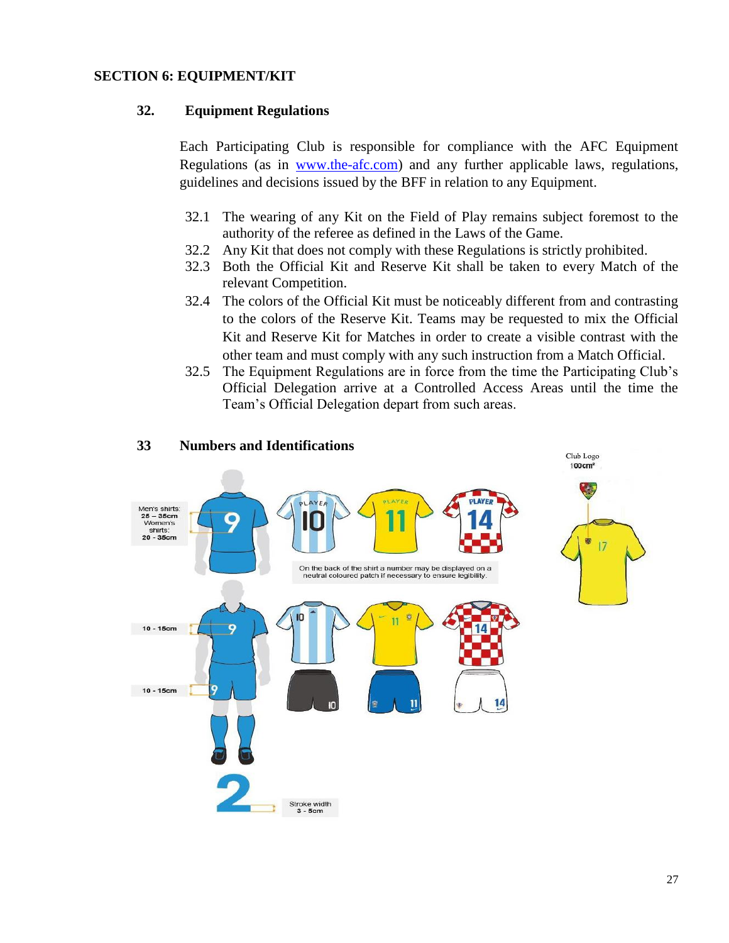#### **SECTION 6: EQUIPMENT/KIT**

#### **32. Equipment Regulations**

Each Participating Club is responsible for compliance with the AFC Equipment Regulations (as in www.the-afc.com) and any further applicable laws, regulations, guidelines and decisions issued by the BFF in relation to any Equipment.

- 32.1 The wearing of any Kit on the Field of Play remains subject foremost to the authority of the referee as defined in the Laws of the Game.
- 32.2 Any Kit that does not comply with these Regulations is strictly prohibited.
- 32.3 Both the Official Kit and Reserve Kit shall be taken to every Match of the relevant Competition.
- 32.4 The colors of the Official Kit must be noticeably different from and contrasting to the colors of the Reserve Kit. Teams may be requested to mix the Official Kit and Reserve Kit for Matches in order to create a visible contrast with the other team and must comply with any such instruction from a Match Official.
- 32.5 The Equipment Regulations are in force from the time the Participating Club"s Official Delegation arrive at a Controlled Access Areas until the time the Team"s Official Delegation depart from such areas.



#### **33 Numbers and Identifications**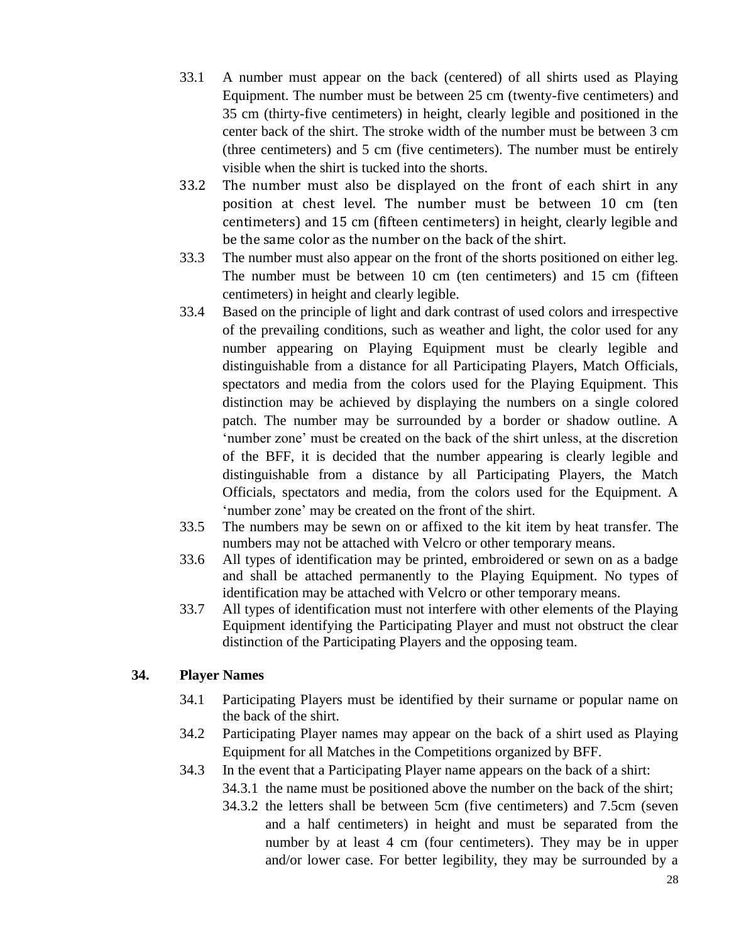- 33.1 A number must appear on the back (centered) of all shirts used as Playing Equipment. The number must be between 25 cm (twenty-five centimeters) and 35 cm (thirty-five centimeters) in height, clearly legible and positioned in the center back of the shirt. The stroke width of the number must be between 3 cm (three centimeters) and 5 cm (five centimeters). The number must be entirely visible when the shirt is tucked into the shorts.
- 33.2 The number must also be displayed on the front of each shirt in any position at chest level. The number must be between 10 cm (ten centimeters) and 15 cm (fifteen centimeters) in height, clearly legible and be the same color as the number on the back of the shirt.
- 33.3 The number must also appear on the front of the shorts positioned on either leg. The number must be between 10 cm (ten centimeters) and 15 cm (fifteen centimeters) in height and clearly legible.
- 33.4 Based on the principle of light and dark contrast of used colors and irrespective of the prevailing conditions, such as weather and light, the color used for any number appearing on Playing Equipment must be clearly legible and distinguishable from a distance for all Participating Players, Match Officials, spectators and media from the colors used for the Playing Equipment. This distinction may be achieved by displaying the numbers on a single colored patch. The number may be surrounded by a border or shadow outline. A 'number zone' must be created on the back of the shirt unless, at the discretion of the BFF, it is decided that the number appearing is clearly legible and distinguishable from a distance by all Participating Players, the Match Officials, spectators and media, from the colors used for the Equipment. A 'number zone' may be created on the front of the shirt.
- 33.5 The numbers may be sewn on or affixed to the kit item by heat transfer. The numbers may not be attached with Velcro or other temporary means.
- 33.6 All types of identification may be printed, embroidered or sewn on as a badge and shall be attached permanently to the Playing Equipment. No types of identification may be attached with Velcro or other temporary means.
- 33.7 All types of identification must not interfere with other elements of the Playing Equipment identifying the Participating Player and must not obstruct the clear distinction of the Participating Players and the opposing team.

## **34. Player Names**

- 34.1 Participating Players must be identified by their surname or popular name on the back of the shirt.
- 34.2 Participating Player names may appear on the back of a shirt used as Playing Equipment for all Matches in the Competitions organized by BFF.
- 34.3 In the event that a Participating Player name appears on the back of a shirt:
	- 34.3.1 the name must be positioned above the number on the back of the shirt;
	- 34.3.2 the letters shall be between 5cm (five centimeters) and 7.5cm (seven and a half centimeters) in height and must be separated from the number by at least 4 cm (four centimeters). They may be in upper and/or lower case. For better legibility, they may be surrounded by a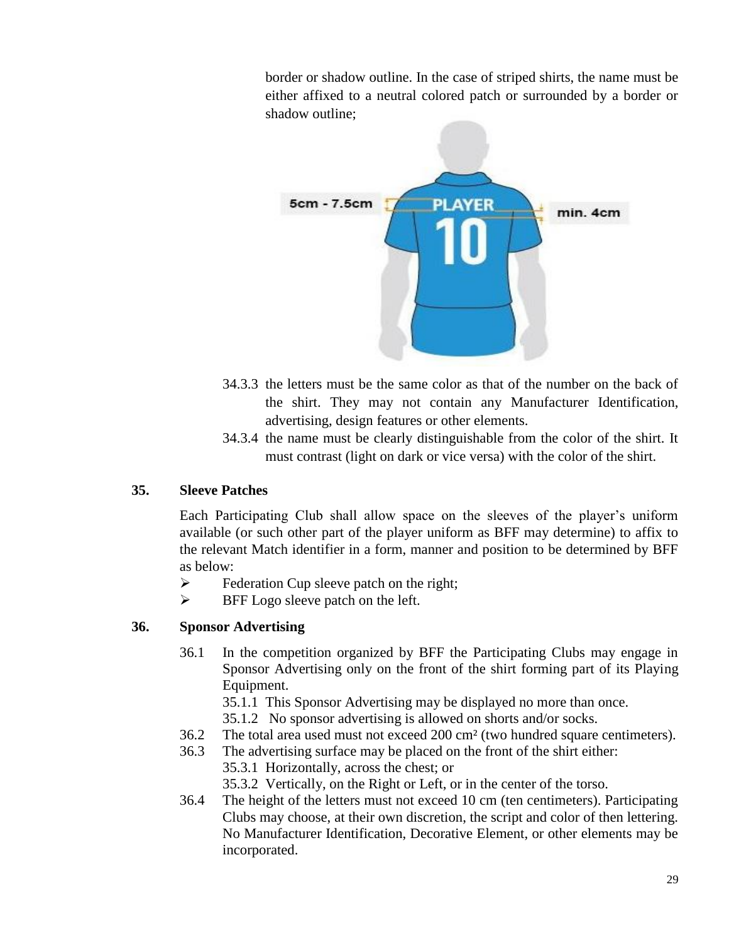border or shadow outline. In the case of striped shirts, the name must be either affixed to a neutral colored patch or surrounded by a border or shadow outline;



- 34.3.3 the letters must be the same color as that of the number on the back of the shirt. They may not contain any Manufacturer Identification, advertising, design features or other elements.
- 34.3.4 the name must be clearly distinguishable from the color of the shirt. It must contrast (light on dark or vice versa) with the color of the shirt.

## **35. Sleeve Patches**

Each Participating Club shall allow space on the sleeves of the player"s uniform available (or such other part of the player uniform as BFF may determine) to affix to the relevant Match identifier in a form, manner and position to be determined by BFF as below:

- $\triangleright$  Federation Cup sleeve patch on the right;
- $\triangleright$  BFF Logo sleeve patch on the left.

## **36. Sponsor Advertising**

- 36.1 In the competition organized by BFF the Participating Clubs may engage in Sponsor Advertising only on the front of the shirt forming part of its Playing Equipment.
	- 35.1.1 This Sponsor Advertising may be displayed no more than once.
	- 35.1.2 No sponsor advertising is allowed on shorts and/or socks.
- 36.2 The total area used must not exceed 200 cm² (two hundred square centimeters).
- 36.3 The advertising surface may be placed on the front of the shirt either:
	- 35.3.1 Horizontally, across the chest; or
	- 35.3.2 Vertically, on the Right or Left, or in the center of the torso.
- 36.4 The height of the letters must not exceed 10 cm (ten centimeters). Participating Clubs may choose, at their own discretion, the script and color of then lettering. No Manufacturer Identification, Decorative Element, or other elements may be incorporated.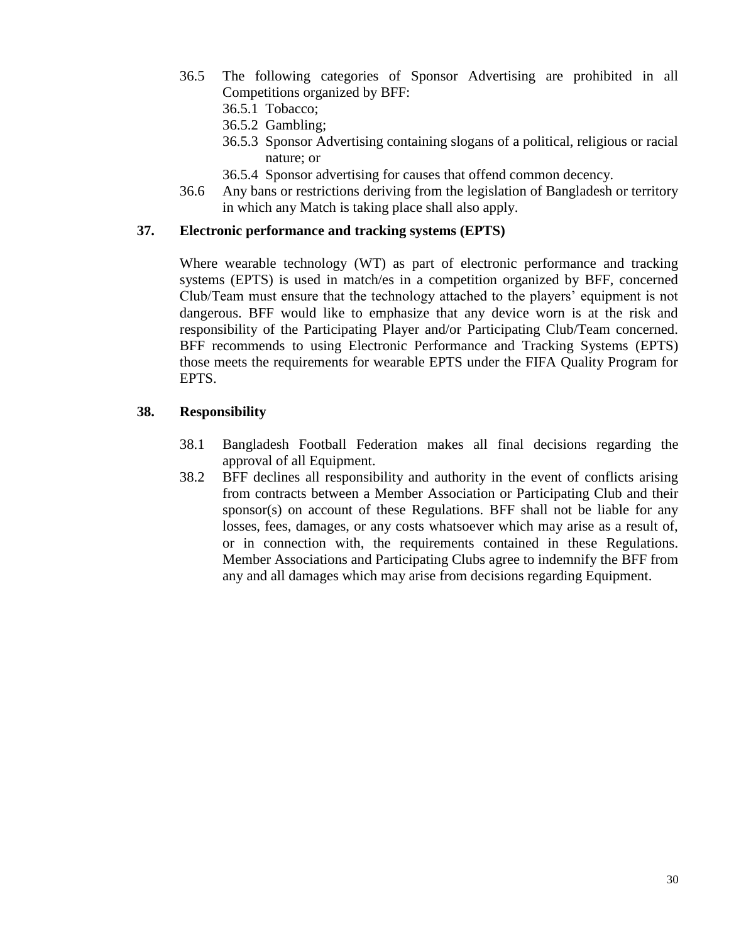- 36.5 The following categories of Sponsor Advertising are prohibited in all Competitions organized by BFF:
	- 36.5.1 Tobacco;
	- 36.5.2 Gambling;
	- 36.5.3 Sponsor Advertising containing slogans of a political, religious or racial nature; or
	- 36.5.4 Sponsor advertising for causes that offend common decency.
- 36.6 Any bans or restrictions deriving from the legislation of Bangladesh or territory in which any Match is taking place shall also apply.

#### **37. Electronic performance and tracking systems (EPTS)**

Where wearable technology (WT) as part of electronic performance and tracking systems (EPTS) is used in match/es in a competition organized by BFF, concerned Club/Team must ensure that the technology attached to the players" equipment is not dangerous. BFF would like to emphasize that any device worn is at the risk and responsibility of the Participating Player and/or Participating Club/Team concerned. BFF recommends to using Electronic Performance and Tracking Systems (EPTS) those meets the requirements for wearable EPTS under the FIFA Quality Program for EPTS.

#### **38. Responsibility**

- 38.1 Bangladesh Football Federation makes all final decisions regarding the approval of all Equipment.
- 38.2 BFF declines all responsibility and authority in the event of conflicts arising from contracts between a Member Association or Participating Club and their sponsor(s) on account of these Regulations. BFF shall not be liable for any losses, fees, damages, or any costs whatsoever which may arise as a result of, or in connection with, the requirements contained in these Regulations. Member Associations and Participating Clubs agree to indemnify the BFF from any and all damages which may arise from decisions regarding Equipment.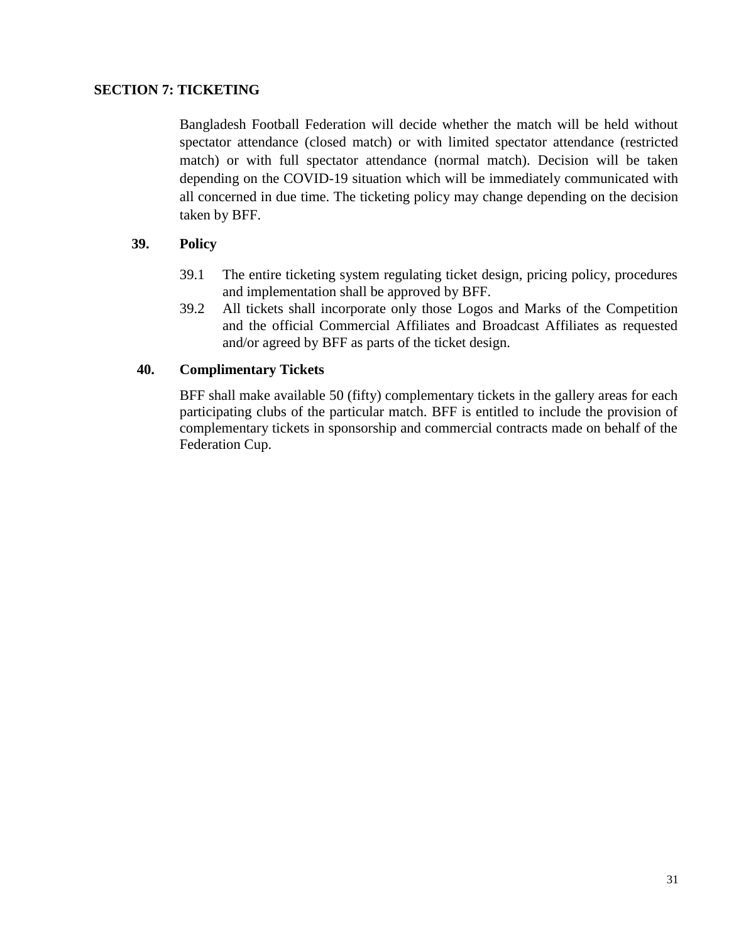#### **SECTION 7: TICKETING**

 Bangladesh Football Federation will decide whether the match will be held without spectator attendance (closed match) or with limited spectator attendance (restricted match) or with full spectator attendance (normal match). Decision will be taken depending on the COVID-19 situation which will be immediately communicated with all concerned in due time. The ticketing policy may change depending on the decision taken by BFF.

#### **39. Policy**

- 39.1 The entire ticketing system regulating ticket design, pricing policy, procedures and implementation shall be approved by BFF.
- 39.2 All tickets shall incorporate only those Logos and Marks of the Competition and the official Commercial Affiliates and Broadcast Affiliates as requested and/or agreed by BFF as parts of the ticket design.

#### **40. Complimentary Tickets**

BFF shall make available 50 (fifty) complementary tickets in the gallery areas for each participating clubs of the particular match. BFF is entitled to include the provision of complementary tickets in sponsorship and commercial contracts made on behalf of the Federation Cup.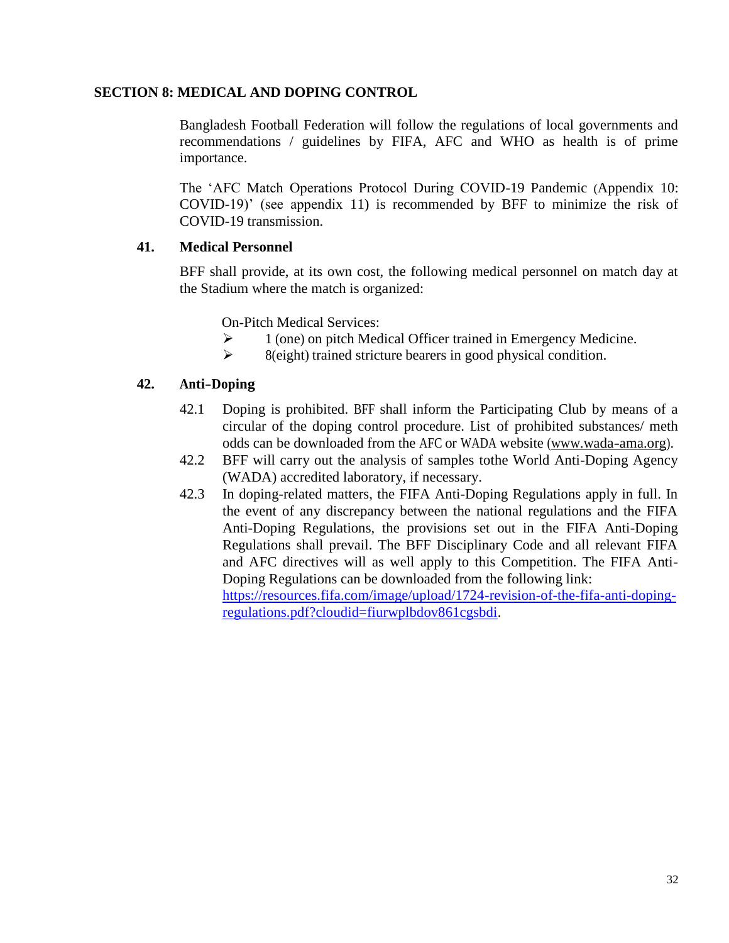## **SECTION 8: MEDICAL AND DOPING CONTROL**

Bangladesh Football Federation will follow the regulations of local governments and recommendations / guidelines by FIFA, AFC and WHO as health is of prime importance.

The "AFC Match Operations Protocol During COVID-19 Pandemic (Appendix 10: COVID-19)" (see appendix 11) is recommended by BFF to minimize the risk of COVID-19 transmission.

## **41. Medical Personnel**

BFF shall provide, at its own cost, the following medical personnel on match day at the Stadium where the match is organized:

On-Pitch Medical Services:

- $\triangleright$  1 (one) on pitch Medical Officer trained in Emergency Medicine.
- $\triangleright$  8(eight) trained stricture bearers in good physical condition.

## **42. Anti-Doping**

- 42.1 Doping is prohibited. BFF shall inform the Participating Club by means of a circular of the doping control procedure. List of prohibited substances/ meth odds can be downloaded from the AFC or WADA website [\(www.wada-ama.org\).](http://www.wada-ama.org/)
- 42.2 BFF will carry out the analysis of samples tothe World Anti-Doping Agency (WADA) accredited laboratory, if necessary.
- 42.3 In doping-related matters, the FIFA Anti-Doping Regulations apply in full. In the event of any discrepancy between the national regulations and the FIFA Anti-Doping Regulations, the provisions set out in the FIFA Anti-Doping Regulations shall prevail. The BFF Disciplinary Code and all relevant FIFA and AFC directives will as well apply to this Competition. The FIFA Anti-Doping Regulations can be downloaded from the following link: [https://resources.fifa.com/image/upload/1724-revision-of-the-fifa-anti-doping](https://resources.fifa.com/image/upload/1724-revision-of-the-fifa-anti-doping-regulations.pdf?cloudid=fiurwplbdov861cgsbdi)[regulations.pdf?cloudid=fiurwplbdov861cgsbdi.](https://resources.fifa.com/image/upload/1724-revision-of-the-fifa-anti-doping-regulations.pdf?cloudid=fiurwplbdov861cgsbdi)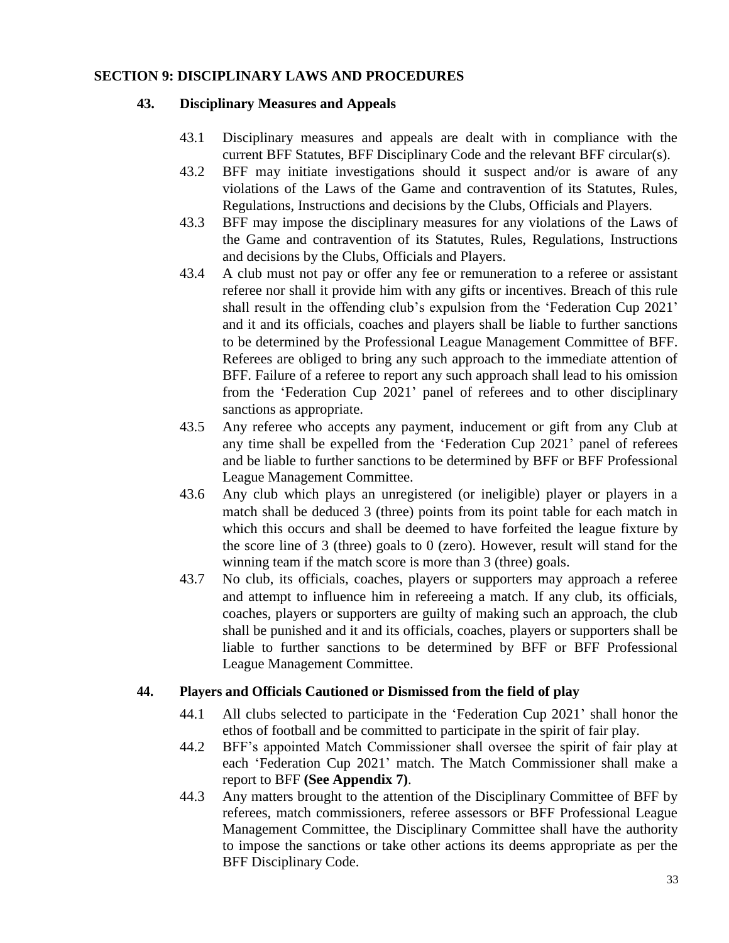#### **SECTION 9: DISCIPLINARY LAWS AND PROCEDURES**

#### **43. Disciplinary Measures and Appeals**

- 43.1 Disciplinary measures and appeals are dealt with in compliance with the current BFF Statutes, BFF Disciplinary Code and the relevant BFF circular(s).
- 43.2 BFF may initiate investigations should it suspect and/or is aware of any violations of the Laws of the Game and contravention of its Statutes, Rules, Regulations, Instructions and decisions by the Clubs, Officials and Players.
- 43.3 BFF may impose the disciplinary measures for any violations of the Laws of the Game and contravention of its Statutes, Rules, Regulations, Instructions and decisions by the Clubs, Officials and Players.
- 43.4 A club must not pay or offer any fee or remuneration to a referee or assistant referee nor shall it provide him with any gifts or incentives. Breach of this rule shall result in the offending club's expulsion from the 'Federation Cup 2021' and it and its officials, coaches and players shall be liable to further sanctions to be determined by the Professional League Management Committee of BFF. Referees are obliged to bring any such approach to the immediate attention of BFF. Failure of a referee to report any such approach shall lead to his omission from the "Federation Cup 2021" panel of referees and to other disciplinary sanctions as appropriate.
- 43.5 Any referee who accepts any payment, inducement or gift from any Club at any time shall be expelled from the "Federation Cup 2021" panel of referees and be liable to further sanctions to be determined by BFF or BFF Professional League Management Committee.
- 43.6 Any club which plays an unregistered (or ineligible) player or players in a match shall be deduced 3 (three) points from its point table for each match in which this occurs and shall be deemed to have forfeited the league fixture by the score line of 3 (three) goals to 0 (zero). However, result will stand for the winning team if the match score is more than 3 (three) goals.
- 43.7 No club, its officials, coaches, players or supporters may approach a referee and attempt to influence him in refereeing a match. If any club, its officials, coaches, players or supporters are guilty of making such an approach, the club shall be punished and it and its officials, coaches, players or supporters shall be liable to further sanctions to be determined by BFF or BFF Professional League Management Committee.

## **44. Players and Officials Cautioned or Dismissed from the field of play**

- 44.1 All clubs selected to participate in the "Federation Cup 2021" shall honor the ethos of football and be committed to participate in the spirit of fair play.
- 44.2 BFF"s appointed Match Commissioner shall oversee the spirit of fair play at each "Federation Cup 2021" match. The Match Commissioner shall make a report to BFF **(See Appendix 7)**.
- 44.3 Any matters brought to the attention of the Disciplinary Committee of BFF by referees, match commissioners, referee assessors or BFF Professional League Management Committee, the Disciplinary Committee shall have the authority to impose the sanctions or take other actions its deems appropriate as per the BFF Disciplinary Code.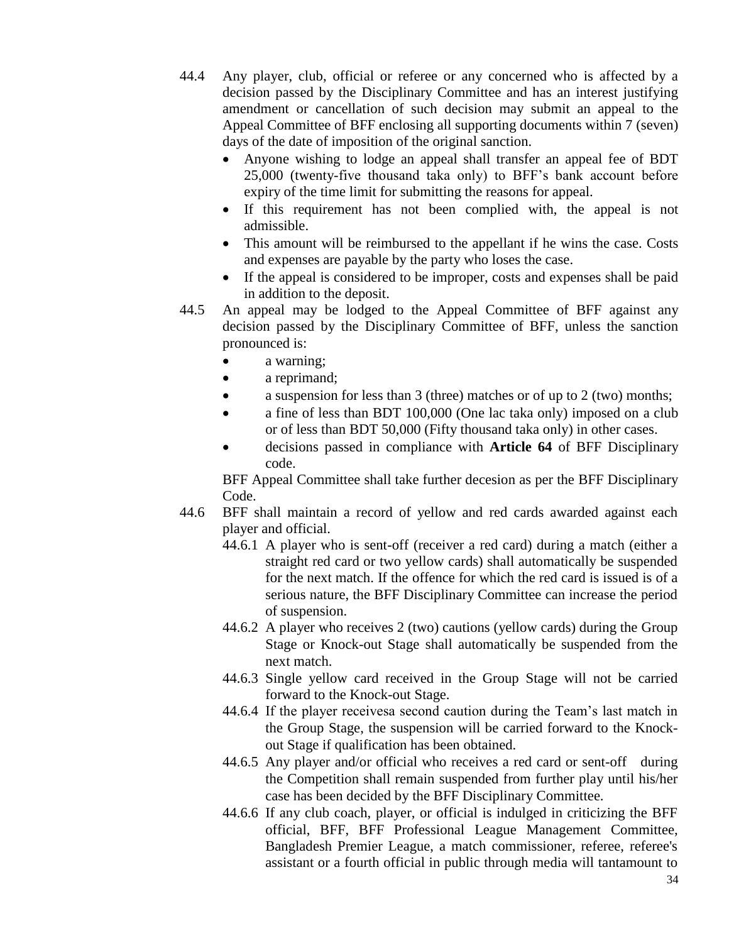44.4 Any player, club, official or referee or any concerned who is affected by a decision passed by the Disciplinary Committee and has an interest justifying amendment or cancellation of such decision may submit an appeal to the Appeal Committee of BFF enclosing all supporting documents within 7 (seven) days of the date of imposition of the original sanction.

- Anyone wishing to lodge an appeal shall transfer an appeal fee of BDT 25,000 (twenty-five thousand taka only) to BFF"s bank account before expiry of the time limit for submitting the reasons for appeal.
- If this requirement has not been complied with, the appeal is not admissible.
- This amount will be reimbursed to the appellant if he wins the case. Costs and expenses are payable by the party who loses the case.
- If the appeal is considered to be improper, costs and expenses shall be paid in addition to the deposit.
- 44.5 An appeal may be lodged to the Appeal Committee of BFF against any decision passed by the Disciplinary Committee of BFF, unless the sanction pronounced is:
	- a warning;
	- a reprimand;
	- a suspension for less than 3 (three) matches or of up to 2 (two) months;
	- a fine of less than BDT 100,000 (One lac taka only) imposed on a club or of less than BDT 50,000 (Fifty thousand taka only) in other cases.
	- decisions passed in compliance with **Article 64** of BFF Disciplinary code.

BFF Appeal Committee shall take further decesion as per the BFF Disciplinary Code.

- 44.6 BFF shall maintain a record of yellow and red cards awarded against each player and official.
	- 44.6.1 A player who is sent-off (receiver a red card) during a match (either a straight red card or two yellow cards) shall automatically be suspended for the next match. If the offence for which the red card is issued is of a serious nature, the BFF Disciplinary Committee can increase the period of suspension.
	- 44.6.2 A player who receives 2 (two) cautions (yellow cards) during the Group Stage or Knock-out Stage shall automatically be suspended from the next match.
	- 44.6.3 Single yellow card received in the Group Stage will not be carried forward to the Knock-out Stage.
	- 44.6.4 If the player receivesa second caution during the Team"s last match in the Group Stage, the suspension will be carried forward to the Knockout Stage if qualification has been obtained.
	- 44.6.5 Any player and/or official who receives a red card or sent-off during the Competition shall remain suspended from further play until his/her case has been decided by the BFF Disciplinary Committee.
	- 44.6.6 If any club coach, player, or official is indulged in criticizing the BFF official, BFF, BFF Professional League Management Committee, Bangladesh Premier League, a match commissioner, referee, referee's assistant or a fourth official in public through media will tantamount to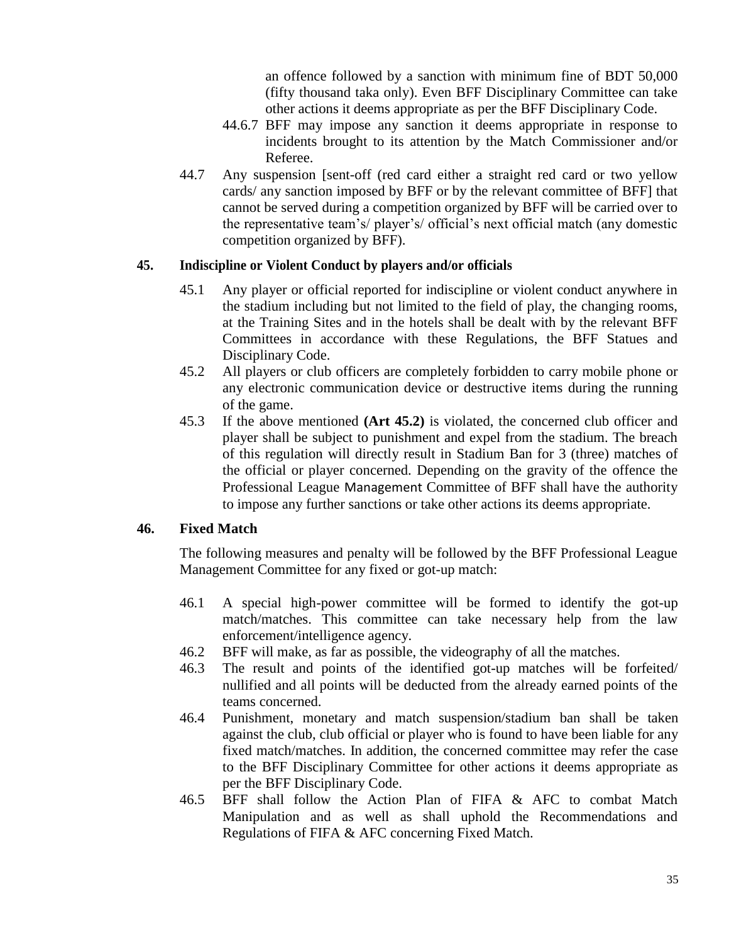an offence followed by a sanction with minimum fine of BDT 50,000 (fifty thousand taka only). Even BFF Disciplinary Committee can take other actions it deems appropriate as per the BFF Disciplinary Code.

- 44.6.7 BFF may impose any sanction it deems appropriate in response to incidents brought to its attention by the Match Commissioner and/or Referee.
- 44.7 Any suspension [sent-off (red card either a straight red card or two yellow cards/ any sanction imposed by BFF or by the relevant committee of BFF] that cannot be served during a competition organized by BFF will be carried over to the representative team"s/ player"s/ official"s next official match (any domestic competition organized by BFF).

#### **45. Indiscipline or Violent Conduct by players and/or officials**

- 45.1 Any player or official reported for indiscipline or violent conduct anywhere in the stadium including but not limited to the field of play, the changing rooms, at the Training Sites and in the hotels shall be dealt with by the relevant BFF Committees in accordance with these Regulations, the BFF Statues and Disciplinary Code.
- 45.2 All players or club officers are completely forbidden to carry mobile phone or any electronic communication device or destructive items during the running of the game.
- 45.3 If the above mentioned **(Art 45.2)** is violated, the concerned club officer and player shall be subject to punishment and expel from the stadium. The breach of this regulation will directly result in Stadium Ban for 3 (three) matches of the official or player concerned. Depending on the gravity of the offence the Professional League Management Committee of BFF shall have the authority to impose any further sanctions or take other actions its deems appropriate.

## **46. Fixed Match**

The following measures and penalty will be followed by the BFF Professional League Management Committee for any fixed or got-up match:

- 46.1 A special high-power committee will be formed to identify the got-up match/matches. This committee can take necessary help from the law enforcement/intelligence agency.
- 46.2 BFF will make, as far as possible, the videography of all the matches.
- 46.3 The result and points of the identified got-up matches will be forfeited/ nullified and all points will be deducted from the already earned points of the teams concerned.
- 46.4 Punishment, monetary and match suspension/stadium ban shall be taken against the club, club official or player who is found to have been liable for any fixed match/matches. In addition, the concerned committee may refer the case to the BFF Disciplinary Committee for other actions it deems appropriate as per the BFF Disciplinary Code.
- 46.5 BFF shall follow the Action Plan of FIFA & AFC to combat Match Manipulation and as well as shall uphold the Recommendations and Regulations of FIFA & AFC concerning Fixed Match.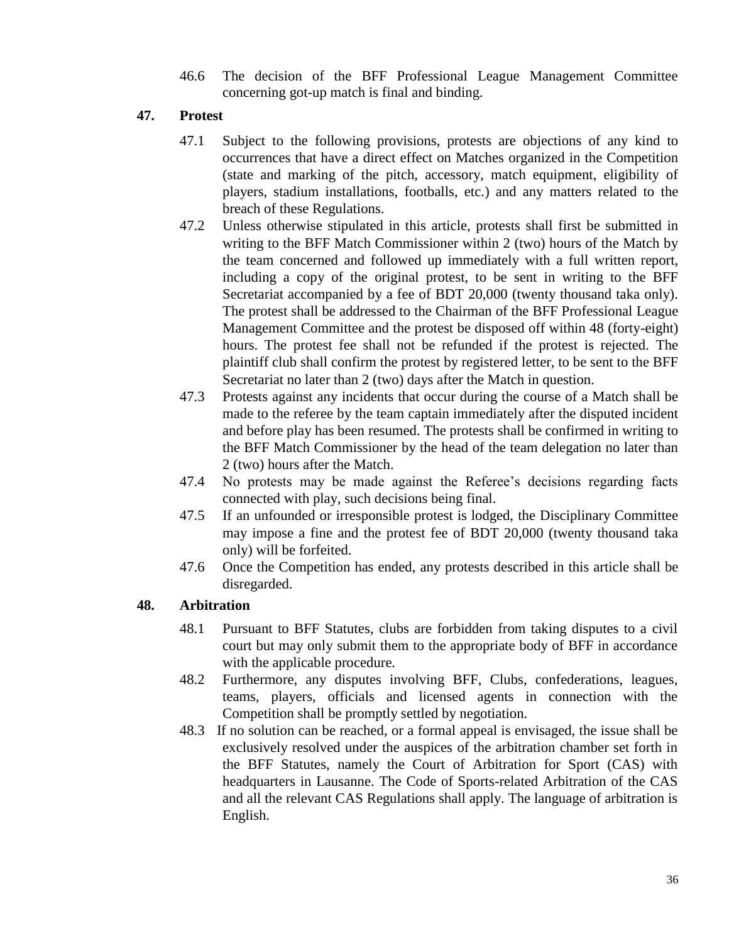46.6 The decision of the BFF Professional League Management Committee concerning got-up match is final and binding.

## **47. Protest**

- 47.1 Subject to the following provisions, protests are objections of any kind to occurrences that have a direct effect on Matches organized in the Competition (state and marking of the pitch, accessory, match equipment, eligibility of players, stadium installations, footballs, etc.) and any matters related to the breach of these Regulations.
- 47.2 Unless otherwise stipulated in this article, protests shall first be submitted in writing to the BFF Match Commissioner within 2 (two) hours of the Match by the team concerned and followed up immediately with a full written report, including a copy of the original protest, to be sent in writing to the BFF Secretariat accompanied by a fee of BDT 20,000 (twenty thousand taka only). The protest shall be addressed to the Chairman of the BFF Professional League Management Committee and the protest be disposed off within 48 (forty-eight) hours. The protest fee shall not be refunded if the protest is rejected. The plaintiff club shall confirm the protest by registered letter, to be sent to the BFF Secretariat no later than 2 (two) days after the Match in question.
- 47.3 Protests against any incidents that occur during the course of a Match shall be made to the referee by the team captain immediately after the disputed incident and before play has been resumed. The protests shall be confirmed in writing to the BFF Match Commissioner by the head of the team delegation no later than 2 (two) hours after the Match.
- 47.4 No protests may be made against the Referee"s decisions regarding facts connected with play, such decisions being final.
- 47.5 If an unfounded or irresponsible protest is lodged, the Disciplinary Committee may impose a fine and the protest fee of BDT 20,000 (twenty thousand taka only) will be forfeited.
- 47.6 Once the Competition has ended, any protests described in this article shall be disregarded.

## **48. Arbitration**

- 48.1 Pursuant to BFF Statutes, clubs are forbidden from taking disputes to a civil court but may only submit them to the appropriate body of BFF in accordance with the applicable procedure.
- 48.2 Furthermore, any disputes involving BFF, Clubs, confederations, leagues, teams, players, officials and licensed agents in connection with the Competition shall be promptly settled by negotiation.
- 48.3 If no solution can be reached, or a formal appeal is envisaged, the issue shall be exclusively resolved under the auspices of the arbitration chamber set forth in the BFF Statutes, namely the Court of Arbitration for Sport (CAS) with headquarters in Lausanne. The Code of Sports-related Arbitration of the CAS and all the relevant CAS Regulations shall apply. The language of arbitration is English.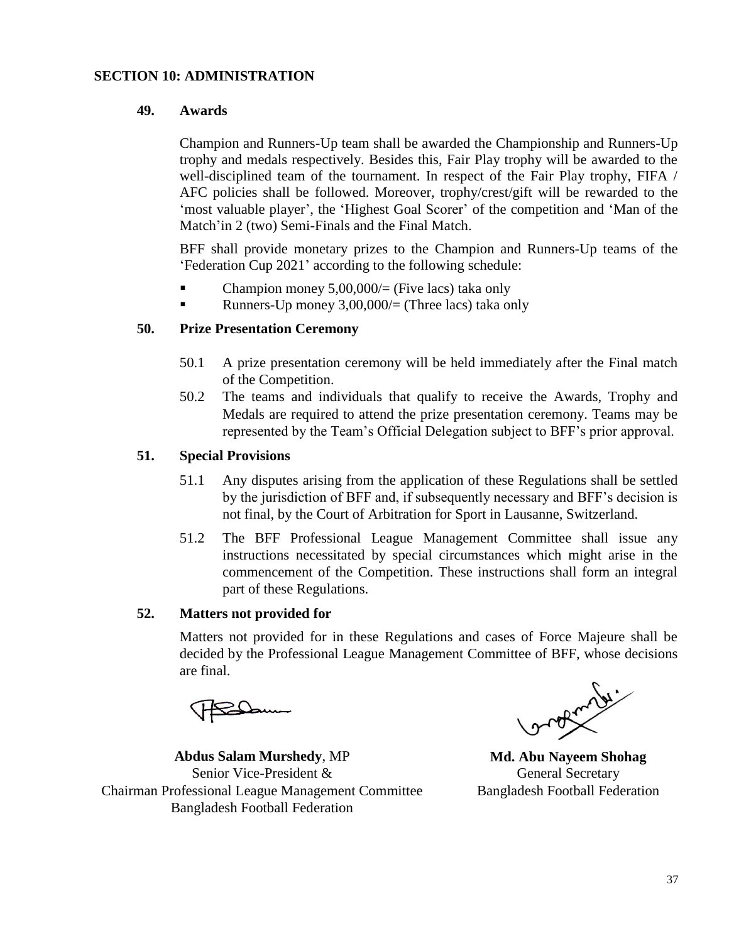#### **SECTION 10: ADMINISTRATION**

#### **49. Awards**

Champion and Runners-Up team shall be awarded the Championship and Runners-Up trophy and medals respectively. Besides this, Fair Play trophy will be awarded to the well-disciplined team of the tournament. In respect of the Fair Play trophy, FIFA / AFC policies shall be followed. Moreover, trophy/crest/gift will be rewarded to the "most valuable player", the 'Highest Goal Scorer' of the competition and 'Man of the Match'in 2 (two) Semi-Finals and the Final Match.

BFF shall provide monetary prizes to the Champion and Runners-Up teams of the "Federation Cup 2021" according to the following schedule:

- Champion money  $5,00,000/$  (Five lacs) taka only
- Runners-Up money  $3,00,000/$  (Three lacs) taka only

#### **50. Prize Presentation Ceremony**

- 50.1 A prize presentation ceremony will be held immediately after the Final match of the Competition.
- 50.2 The teams and individuals that qualify to receive the Awards, Trophy and Medals are required to attend the prize presentation ceremony. Teams may be represented by the Team"s Official Delegation subject to BFF"s prior approval.

#### **51. Special Provisions**

- 51.1 Any disputes arising from the application of these Regulations shall be settled by the jurisdiction of BFF and, if subsequently necessary and BFF"s decision is not final, by the Court of Arbitration for Sport in Lausanne, Switzerland.
- 51.2 The BFF Professional League Management Committee shall issue any instructions necessitated by special circumstances which might arise in the commencement of the Competition. These instructions shall form an integral part of these Regulations.

#### **52. Matters not provided for**

Matters not provided for in these Regulations and cases of Force Majeure shall be decided by the Professional League Management Committee of BFF, whose decisions are final.

**Abdus Salam Murshedy**, MP Senior Vice-President & Chairman Professional League Management Committee Bangladesh Football Federation

orden de

**Md. Abu Nayeem Shohag** General Secretary Bangladesh Football Federation